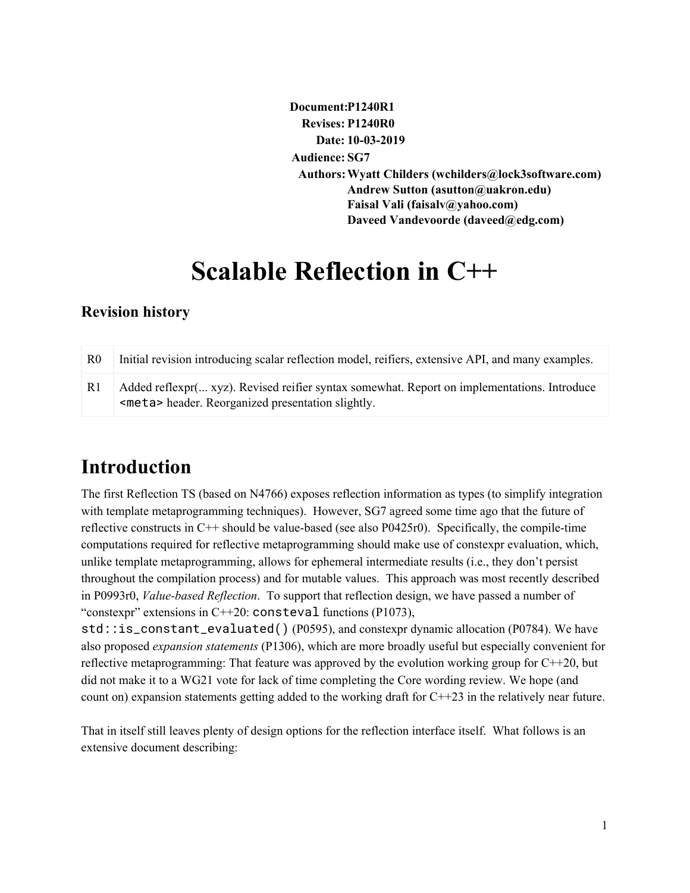**Document:P1240R1 Revises: P1240R0 Date: 10-03-2019 Audience: SG7 Authors:Wyatt Childers (wchilders@lock3software.com) Andrew Sutton (asutton@uakron.edu) Faisal Vali (faisalv@yahoo.com) Daveed Vandevoorde (daveed@edg.com)**

# **Scalable Reflection in C++**

# **Revision history**

| R0    | Initial revision introducing scalar reflection model, reifiers, extensive API, and many examples.                                                 |
|-------|---------------------------------------------------------------------------------------------------------------------------------------------------|
| – R 1 | Added reflexpr( xyz). Revised reifier syntax somewhat. Report on implementations. Introduce<br><meta/> header. Reorganized presentation slightly. |

# **Introduction**

The first Reflection TS (based on N4766) exposes reflection information as types (to simplify integration with template metaprogramming techniques). However, SG7 agreed some time ago that the future of reflective constructs in C++ should be value-based (see also P0425r0). Specifically, the compile-time computations required for reflective metaprogramming should make use of constexpr evaluation, which, unlike template metaprogramming, allows for ephemeral intermediate results (i.e., they don't persist throughout the compilation process) and for mutable values. This approach was most recently described in P0993r0, *Value-based Reflection*. To support that reflection design, we have passed a number of "constexpr" extensions in  $C++20$ : consteval functions (P1073),

std::is\_constant\_evaluated() (P0595), and constexpr dynamic allocation (P0784). We have also proposed *expansion statements* (P1306), which are more broadly useful but especially convenient for reflective metaprogramming: That feature was approved by the evolution working group for C++20, but did not make it to a WG21 vote for lack of time completing the Core wording review. We hope (and count on) expansion statements getting added to the working draft for  $C++23$  in the relatively near future.

That in itself still leaves plenty of design options for the reflection interface itself. What follows is an extensive document describing: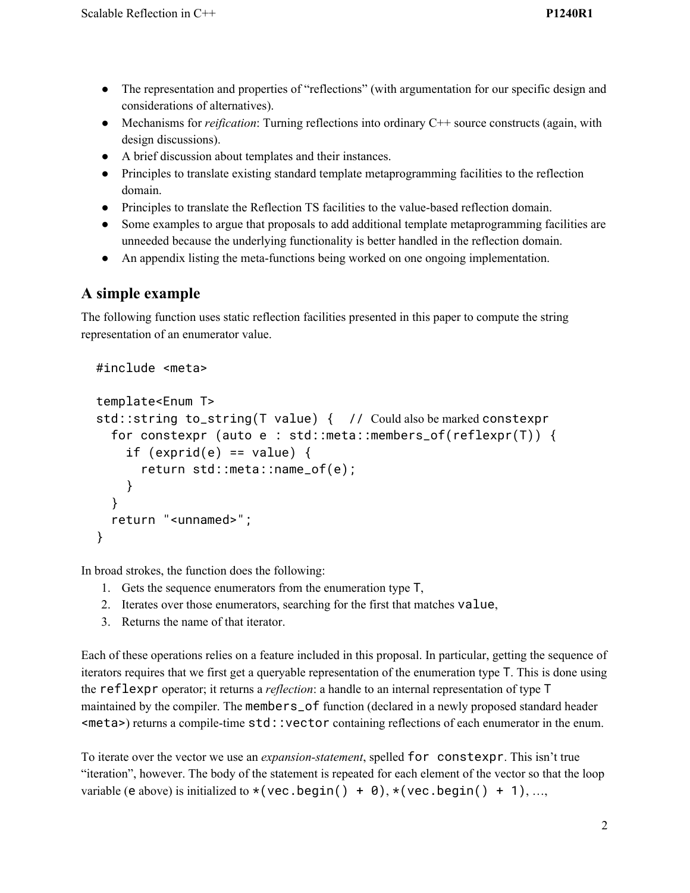- The representation and properties of "reflections" (with argumentation for our specific design and considerations of alternatives).
- Mechanisms for *reification*: Turning reflections into ordinary C++ source constructs (again, with design discussions).
- A brief discussion about templates and their instances.
- Principles to translate existing standard template metaprogramming facilities to the reflection domain.
- Principles to translate the Reflection TS facilities to the value-based reflection domain.
- Some examples to argue that proposals to add additional template metaprogramming facilities are unneeded because the underlying functionality is better handled in the reflection domain.
- An appendix listing the meta-functions being worked on one ongoing implementation.

# **A simple example**

The following function uses static reflection facilities presented in this paper to compute the string representation of an enumerator value.

```
#include <meta>
```

```
template<Enum T>
std::string to_string(T value) { // Could also be marked constexpr
  for constexpr (auto e : std::meta::members_of(reflexpr(T)) {
    if (exprid(e) == value) {
      return std::meta::name_of(e);
    }
  }
  return "<unnamed>";
}
```
In broad strokes, the function does the following:

- 1. Gets the sequence enumerators from the enumeration type T,
- 2. Iterates over those enumerators, searching for the first that matches value,
- 3. Returns the name of that iterator.

Each of these operations relies on a feature included in this proposal. In particular, getting the sequence of iterators requires that we first get a queryable representation of the enumeration type T. This is done using the reflexpr operator; it returns a *reflection*: a handle to an internal representation of type T maintained by the compiler. The members\_of function (declared in a newly proposed standard header <meta>) returns a compile-time std::vector containing reflections of each enumerator in the enum.

To iterate over the vector we use an *expansion-statement*, spelled for constexpr. This isn't true "iteration", however. The body of the statement is repeated for each element of the vector so that the loop variable (e above) is initialized to  $\star$  (vec.begin() + 0),  $\star$  (vec.begin() + 1), ...,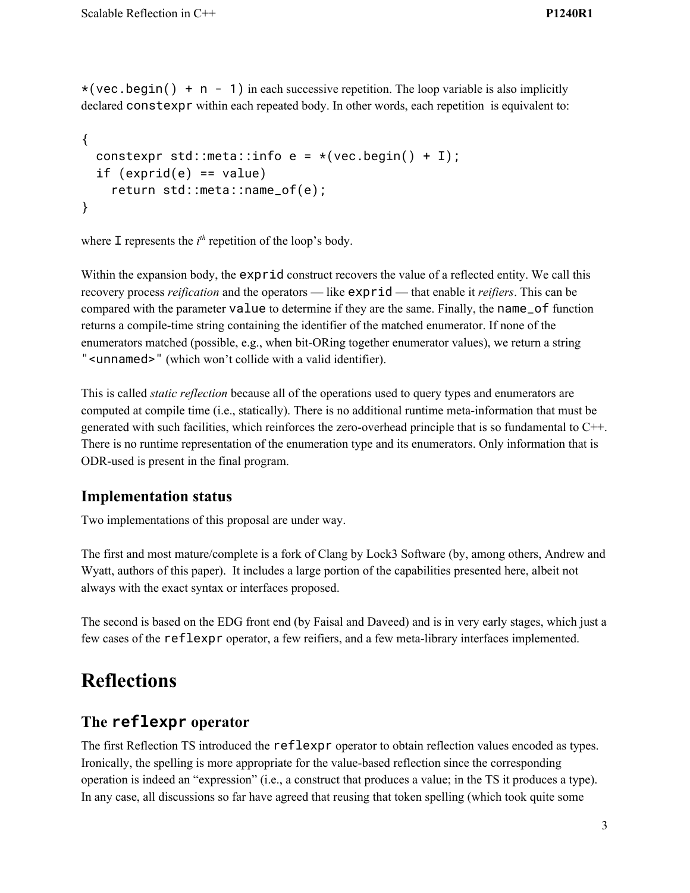$*(vec.begin() + n - 1)$  in each successive repetition. The loop variable is also implicitly declared constexpr within each repeated body. In other words, each repetition is equivalent to:

```
{
 constexpr std::meta::info e = *(vec.begin() + I);if (exprid(e) == value)return std::meta::name_of(e);
}
```
where  $\mathbf I$  represents the  $i^{th}$  repetition of the loop's body.

Within the expansion body, the exprid construct recovers the value of a reflected entity. We call this recovery process *reification* and the operators — like exprid — that enable it *reifiers*. This can be compared with the parameter value to determine if they are the same. Finally, the name\_of function returns a compile-time string containing the identifier of the matched enumerator. If none of the enumerators matched (possible, e.g., when bit-ORing together enumerator values), we return a string "<unnamed>" (which won't collide with a valid identifier).

This is called *static reflection* because all of the operations used to query types and enumerators are computed at compile time (i.e., statically). There is no additional runtime meta-information that must be generated with such facilities, which reinforces the zero-overhead principle that is so fundamental to C++. There is no runtime representation of the enumeration type and its enumerators. Only information that is ODR-used is present in the final program.

### **Implementation status**

Two implementations of this proposal are under way.

The first and most mature/complete is a fork of Clang by Lock3 Software (by, among others, Andrew and Wyatt, authors of this paper). It includes a large portion of the capabilities presented here, albeit not always with the exact syntax or interfaces proposed.

The second is based on the EDG front end (by Faisal and Daveed) and is in very early stages, which just a few cases of the reflexpr operator, a few reifiers, and a few meta-library interfaces implemented.

# **Reflections**

# **The reflexpr operator**

The first Reflection TS introduced the reflexpr operator to obtain reflection values encoded as types. Ironically, the spelling is more appropriate for the value-based reflection since the corresponding operation is indeed an "expression" (i.e., a construct that produces a value; in the TS it produces a type). In any case, all discussions so far have agreed that reusing that token spelling (which took quite some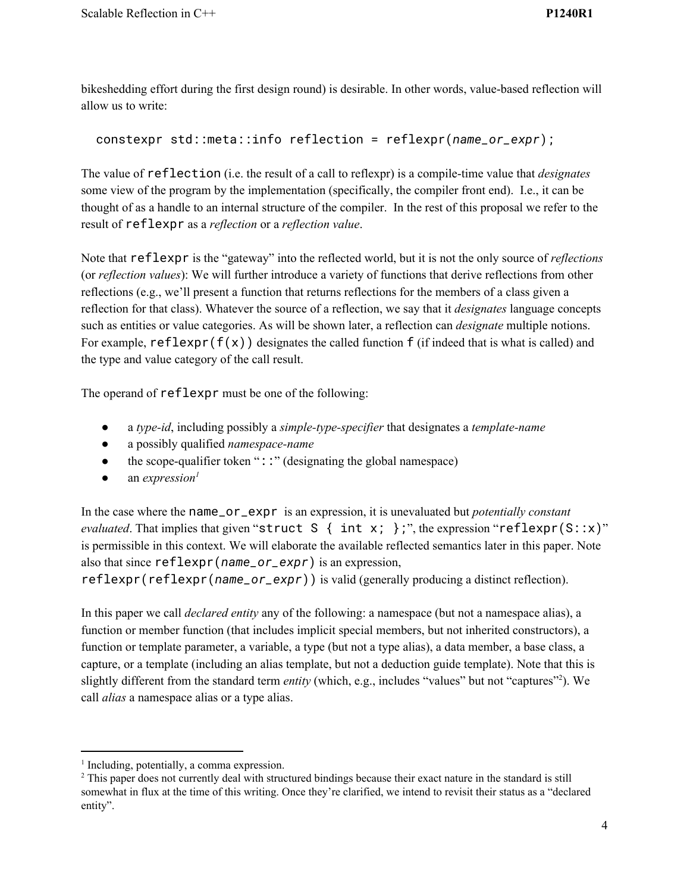bikeshedding effort during the first design round) is desirable. In other words, value-based reflection will allow us to write:

```
constexpr std::meta::info reflection = reflexpr(name_or_expr);
```
The value of reflection (i.e. the result of a call to reflexpr) is a compile-time value that *designates* some view of the program by the implementation (specifically, the compiler front end). I.e., it can be thought of as a handle to an internal structure of the compiler. In the rest of this proposal we refer to the result of reflexpr as a *reflection* or a *reflection value*.

Note that reflexpr is the "gateway" into the reflected world, but it is not the only source of *reflections* (or *reflection values*): We will further introduce a variety of functions that derive reflections from other reflections (e.g., we'll present a function that returns reflections for the members of a class given a reflection for that class). Whatever the source of a reflection, we say that it *designates* language concepts such as entities or value categories. As will be shown later, a reflection can *designate* multiple notions. For example,  $reflexpr(f(x))$  designates the called function f (if indeed that is what is called) and the type and value category of the call result.

The operand of reflexpr must be one of the following:

- a *type-id*, including possibly a *simple-type-specifier* that designates a *template-name*
- a possibly qualified *namespace-name*
- $\bullet$  the scope-qualifier token "::" (designating the global namespace)
- $\bullet$  an *expression*<sup>1</sup>

In the case where the name\_or\_expr is an expression, it is unevaluated but *potentially constant evaluated*. That implies that given "struct S { int x; };", the expression "reflexpr(S::x)" is permissible in this context. We will elaborate the available reflected semantics later in this paper. Note also that since reflexpr(*name\_or\_expr*) is an expression,

reflexpr(reflexpr(*name\_or\_expr*)) is valid (generally producing a distinct reflection).

In this paper we call *declared entity* any of the following: a namespace (but not a namespace alias), a function or member function (that includes implicit special members, but not inherited constructors), a function or template parameter, a variable, a type (but not a type alias), a data member, a base class, a capture, or a template (including an alias template, but not a deduction guide template). Note that this is slightly different from the standard term *entity* (which, e.g., includes "values" but not "captures"<sup>2</sup>). We call *alias* a namespace alias or a type alias.

<sup>&</sup>lt;sup>1</sup> Including, potentially, a comma expression.

<sup>&</sup>lt;sup>2</sup> This paper does not currently deal with structured bindings because their exact nature in the standard is still somewhat in flux at the time of this writing. Once they're clarified, we intend to revisit their status as a "declared entity".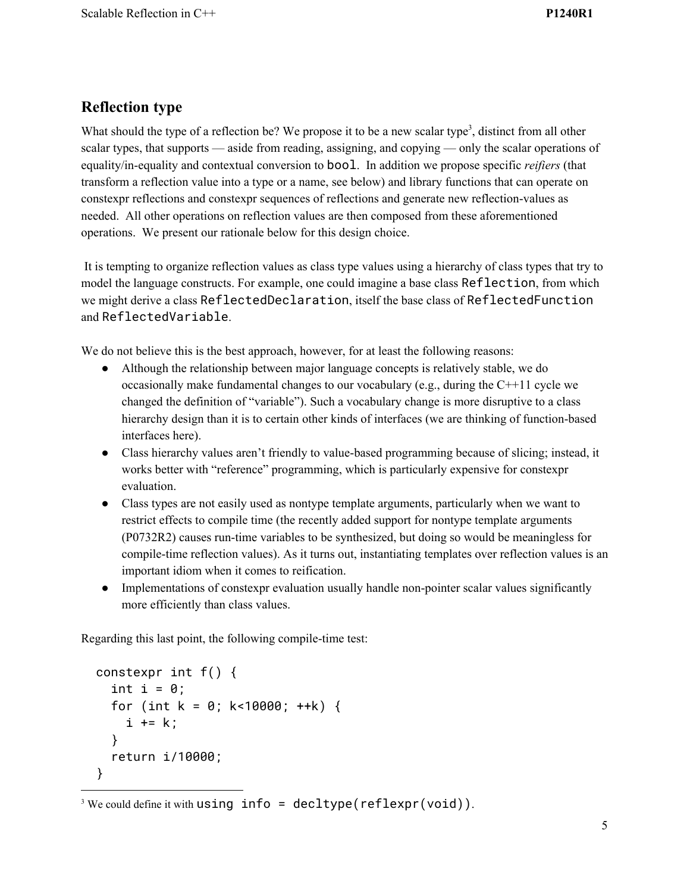# **Reflection type**

What should the type of a reflection be? We propose it to be a new scalar type<sup>3</sup>, distinct from all other scalar types, that supports — aside from reading, assigning, and copying — only the scalar operations of equality/in-equality and contextual conversion to bool. In addition we propose specific *reifiers* (that transform a reflection value into a type or a name, see below) and library functions that can operate on constexpr reflections and constexpr sequences of reflections and generate new reflection-values as needed. All other operations on reflection values are then composed from these aforementioned operations. We present our rationale below for this design choice.

It is tempting to organize reflection values as class type values using a hierarchy of class types that try to model the language constructs. For example, one could imagine a base class Reflection, from which we might derive a class ReflectedDeclaration, itself the base class of ReflectedFunction and ReflectedVariable.

We do not believe this is the best approach, however, for at least the following reasons:

- Although the relationship between major language concepts is relatively stable, we do occasionally make fundamental changes to our vocabulary (e.g., during the C++11 cycle we changed the definition of "variable"). Such a vocabulary change is more disruptive to a class hierarchy design than it is to certain other kinds of interfaces (we are thinking of function-based interfaces here).
- Class hierarchy values aren't friendly to value-based programming because of slicing; instead, it works better with "reference" programming, which is particularly expensive for constexpr evaluation.
- Class types are not easily used as nontype template arguments, particularly when we want to restrict effects to compile time (the recently added support for nontype template arguments (P0732R2) causes run-time variables to be synthesized, but doing so would be meaningless for compile-time reflection values). As it turns out, instantiating templates over reflection values is an important idiom when it comes to reification.
- Implementations of constexpr evaluation usually handle non-pointer scalar values significantly more efficiently than class values.

Regarding this last point, the following compile-time test:

```
constexpr int f() {
  int i = 0;
  for (int k = 0; k<10000; ++k) {
    i += k;
  }
  return i/10000;
}
```
<sup>&</sup>lt;sup>3</sup> We could define it with using  $info = \text{decltype}(\text{reflexpr}(\text{void}))$ .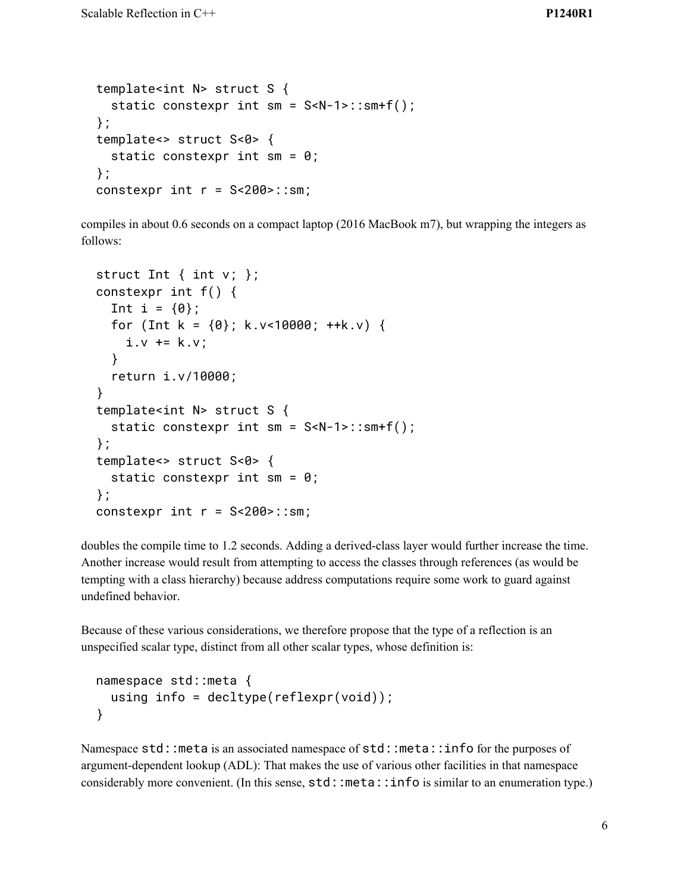```
template<int N> struct S {
  static constexpr int sm = S<N-1>::sm+f();
};
template<> struct S<0> {
  static constexpr int sm = 0;
};
constexpr int r = S < 200 :: sm;
```
compiles in about 0.6 seconds on a compact laptop (2016 MacBook m7), but wrapping the integers as follows:

```
struct Int \{ int v; \};
constexpr int f() {
  Int i = \{0\};
  for (Int k = \{0\}; k.v<10000; ++k.v) {
    i.v += k.v;}
  return i.v/10000;
}
template<int N> struct S {
  static constexpr int sm = S<N-1>::sm+f();
};
template<> struct S<0> {
  static constexpr int sm = 0;
};
constexpr int r = S < 200 :: sm;
```
doubles the compile time to 1.2 seconds. Adding a derived-class layer would further increase the time. Another increase would result from attempting to access the classes through references (as would be tempting with a class hierarchy) because address computations require some work to guard against undefined behavior.

Because of these various considerations, we therefore propose that the type of a reflection is an unspecified scalar type, distinct from all other scalar types, whose definition is:

```
namespace std::meta {
  using info = decltype(reflexpr(void));
}
```
Namespace std:: meta is an associated namespace of std:: meta:: info for the purposes of argument-dependent lookup (ADL): That makes the use of various other facilities in that namespace considerably more convenient. (In this sense,  $std:$ : meta::info is similar to an enumeration type.)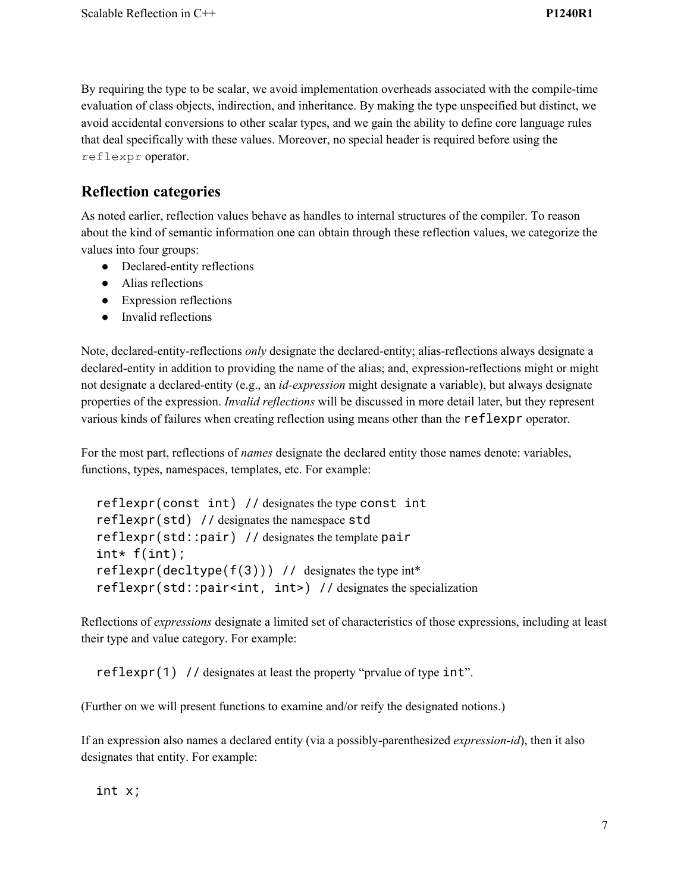By requiring the type to be scalar, we avoid implementation overheads associated with the compile-time evaluation of class objects, indirection, and inheritance. By making the type unspecified but distinct, we avoid accidental conversions to other scalar types, and we gain the ability to define core language rules that deal specifically with these values. Moreover, no special header is required before using the reflexpr operator.

### **Reflection categories**

As noted earlier, reflection values behave as handles to internal structures of the compiler. To reason about the kind of semantic information one can obtain through these reflection values, we categorize the values into four groups:

- Declared-entity reflections
- Alias reflections
- Expression reflections
- Invalid reflections

Note, declared-entity-reflections *only* designate the declared-entity; alias-reflections always designate a declared-entity in addition to providing the name of the alias; and, expression-reflections might or might not designate a declared-entity (e.g., an *id-expression* might designate a variable), but always designate properties of the expression. *Invalid reflections* will be discussed in more detail later, but they represent various kinds of failures when creating reflection using means other than the reflexpr operator.

For the most part, reflections of *names* designate the declared entity those names denote: variables, functions, types, namespaces, templates, etc. For example:

```
reflexpr(const int) // designates the type const int
reflexpr(std) // designates the namespace std
reflexpr(std::pair) // designates the template pair
int* f(int);
reflexpr(decltype(f(3))) // designates the type int*
reflexpr(std::pair<int, int>) // designates the specialization
```
Reflections of *expressions* designate a limited set of characteristics of those expressions, including at least their type and value category. For example:

reflexpr(1) // designates at least the property "prvalue of type int".

(Further on we will present functions to examine and/or reify the designated notions.)

If an expression also names a declared entity (via a possibly-parenthesized *expression-id*), then it also designates that entity. For example:

int x;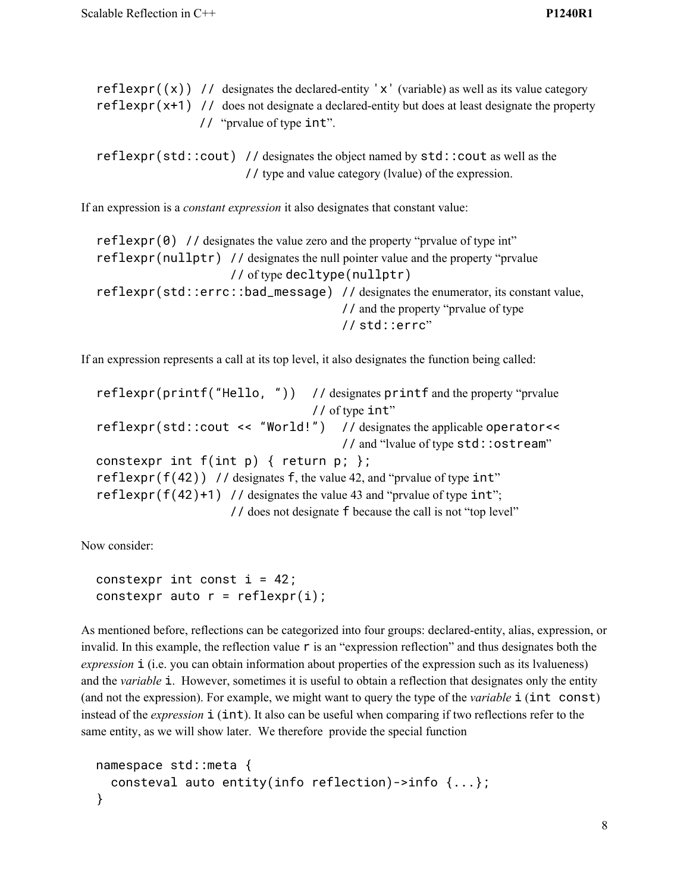|  | reflexpr( $(x)$ ) // designates the declared-entity 'x' (variable) as well as its value category |  |
|--|--------------------------------------------------------------------------------------------------|--|
|  | $reflexpr(x+1)$ // does not designate a declared-entity but does at least designate the property |  |
|  | // "prvalue of type int".                                                                        |  |

reflexpr(std::cout) // designates the object named by std::cout as well as the // type and value category (lvalue) of the expression.

If an expression is a *constant expression* it also designates that constant value:

 $reflexpr(0)$  // designates the value zero and the property "prvalue of type int" reflexpr(nullptr) // designates the null pointer value and the property "prvalue // of type decltype(nullptr) reflexpr(std::errc::bad\_message) // designates the enumerator, its constant value, // and the property "prvalue of type // std::errc"

If an expression represents a call at its top level, it also designates the function being called:

reflexpr(printf("Hello, ")) // designates printf and the property "prvalue // of type int" reflexpr(std::cout << "World!") // designates the applicable operator<< // and "lvalue of type std::ostream" constexpr int  $f(int p) \{ return p; \}$ ; reflexpr( $f(42)$ ) // designates f, the value 42, and "prvalue of type int" reflexpr(f(42)+1) // designates the value 43 and "prvalue of type  $int$ "; // does not designate f because the call is not "top level"

Now consider:

constexpr int const  $i = 42$ ; constexpr auto  $r = reflexpr(i);$ 

As mentioned before, reflections can be categorized into four groups: declared-entity, alias, expression, or invalid. In this example, the reflection value  $\mathsf r$  is an "expression reflection" and thus designates both the *expression* **i** (i.e. you can obtain information about properties of the expression such as its lvalueness) and the *variable* **i**. However, sometimes it is useful to obtain a reflection that designates only the entity (and not the expression). For example, we might want to query the type of the *variable* i (int const) instead of the *expression* **i** (**int**). It also can be useful when comparing if two reflections refer to the same entity, as we will show later. We therefore provide the special function

```
namespace std::meta {
  consteval auto entity(info reflection)->info {...};
}
```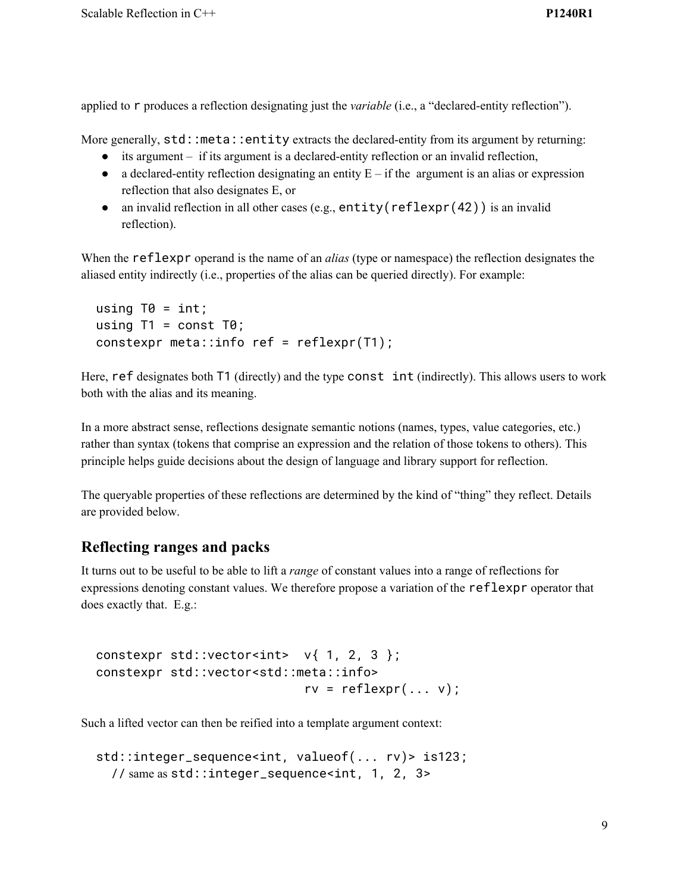applied to r produces a reflection designating just the *variable* (i.e., a "declared-entity reflection").

More generally,  $std:$ : meta::entity extracts the declared-entity from its argument by returning:

- its argument if its argument is a declared-entity reflection or an invalid reflection,
- $\bullet$  a declared-entity reflection designating an entity  $E if$  the argument is an alias or expression reflection that also designates E, or
- an invalid reflection in all other cases (e.g.,  $entity(reflexpr(42))$ ) is an invalid reflection).

When the reflexpr operand is the name of an *alias* (type or namespace) the reflection designates the aliased entity indirectly (i.e., properties of the alias can be queried directly). For example:

```
using T\theta = \text{int};
using T1 = const T0;
constexpr meta::info ref = reflexpr(T1);
```
Here, ref designates both T1 (directly) and the type const int (indirectly). This allows users to work both with the alias and its meaning.

In a more abstract sense, reflections designate semantic notions (names, types, value categories, etc.) rather than syntax (tokens that comprise an expression and the relation of those tokens to others). This principle helps guide decisions about the design of language and library support for reflection.

The queryable properties of these reflections are determined by the kind of "thing" they reflect. Details are provided below.

### **Reflecting ranges and packs**

It turns out to be useful to be able to lift a *range* of constant values into a range of reflections for expressions denoting constant values. We therefore propose a variation of the reflexpr operator that does exactly that. E.g.:

```
constexpr std::vector<int> v{1, 2, 3};
constexpr std::vector<std::meta::info>
                           rv = reflexpr(... v);
```
Such a lifted vector can then be reified into a template argument context:

```
std::integer_sequence<int, valueof(... rv)> is123;
  // same as std::integer_sequence<int, 1, 2, 3>
```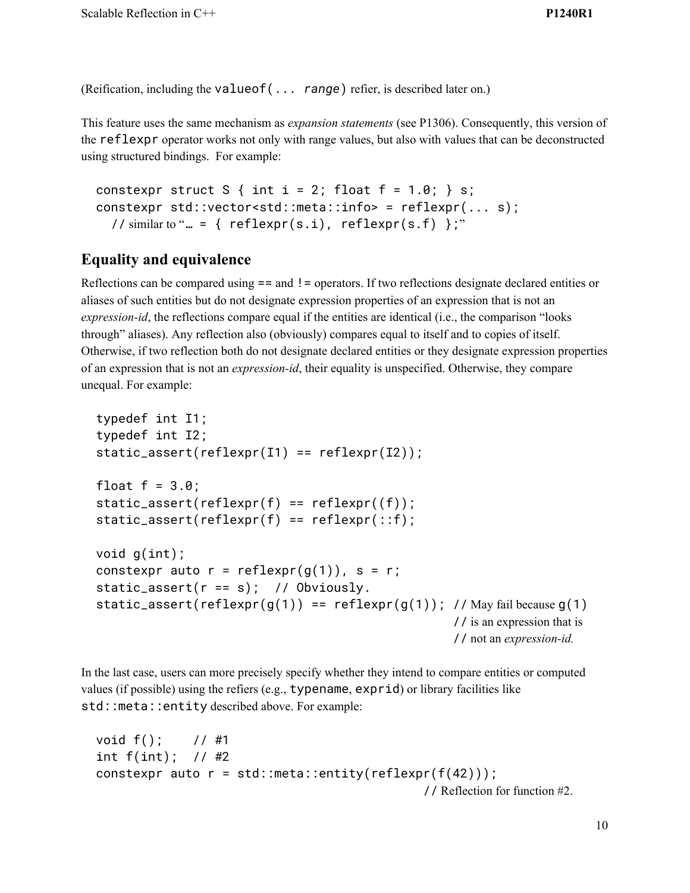(Reification, including the valueof(... *range*) refier, is described later on.)

This feature uses the same mechanism as *expansion statements* (see P1306). Consequently, this version of the reflexpr operator works not only with range values, but also with values that can be deconstructed using structured bindings. For example:

```
constexpr struct S { int i = 2; float f = 1.0; } s;
constexpr std::vector<std::meta::info> = reflexpr(... s);
  // similar to "... = { reflexpr(s.i), reflexpr(s.f) };"
```
# **Equality and equivalence**

Reflections can be compared using == and != operators. If two reflections designate declared entities or aliases of such entities but do not designate expression properties of an expression that is not an *expression-id*, the reflections compare equal if the entities are identical (i.e., the comparison "looks through" aliases). Any reflection also (obviously) compares equal to itself and to copies of itself. Otherwise, if two reflection both do not designate declared entities or they designate expression properties of an expression that is not an *expression-id*, their equality is unspecified. Otherwise, they compare unequal. For example:

```
typedef int I1;
typedef int I2;
static_assert(reflexpr(I1) == reflexpr(I2));float f = 3.0;
static_assert(reflexpr(f) == reflexpr(f);
static\_assert(reflexpr(f) == reflexpr(::f);void g(int);
constexpr auto r = reflexpr(g(1)), s = r;
static_assert(r == s); // Obviously.
static_assert(reflexpr(g(1)) == reflexpr(g(1)); // May fail because g(1)// is an expression that is
                                                   // not an expression-id.
```
In the last case, users can more precisely specify whether they intend to compare entities or computed values (if possible) using the refiers (e.g., typename, exprid) or library facilities like std::meta::entity described above. For example:

```
void f(); // #1
int f(int); // #2
constexpr auto r = std::meta::entity(reflexpr(f(42)));
                                               // Reflection for function #2.
```
10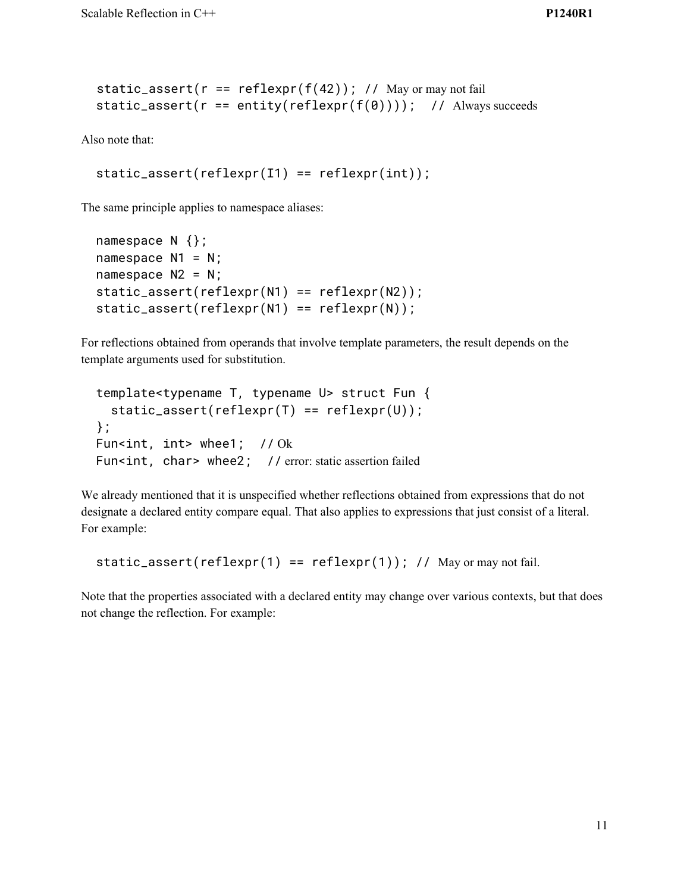```
static_assert(r = reflexpr(f(42)); // May or may not fail
static_assert(r == entity(reflexpr(f(0)))); // Always succeeds
```
Also note that:

```
static\_assert(reflexpr(I1) == reflexpr(int));
```
The same principle applies to namespace aliases:

```
namespace N {};
namespace N1 = N;
namespace N2 = N;
static_assert(reflexpr(N1) == reflexpr(N2));
static_assert(reflexpr(N1) == reflexpr(N));
```
For reflections obtained from operands that involve template parameters, the result depends on the template arguments used for substitution.

```
template<typename T, typename U> struct Fun {
  static\_assert(reflexpr(T) == reflexpr(U));};
Fun<int, int> whee1; // Ok
Fun<int, char> whee2; // error: static assertion failed
```
We already mentioned that it is unspecified whether reflections obtained from expressions that do not designate a declared entity compare equal. That also applies to expressions that just consist of a literal. For example:

```
static_assert(reflexpr(1) == reflexpr(1); // May or may not fail.
```
Note that the properties associated with a declared entity may change over various contexts, but that does not change the reflection. For example: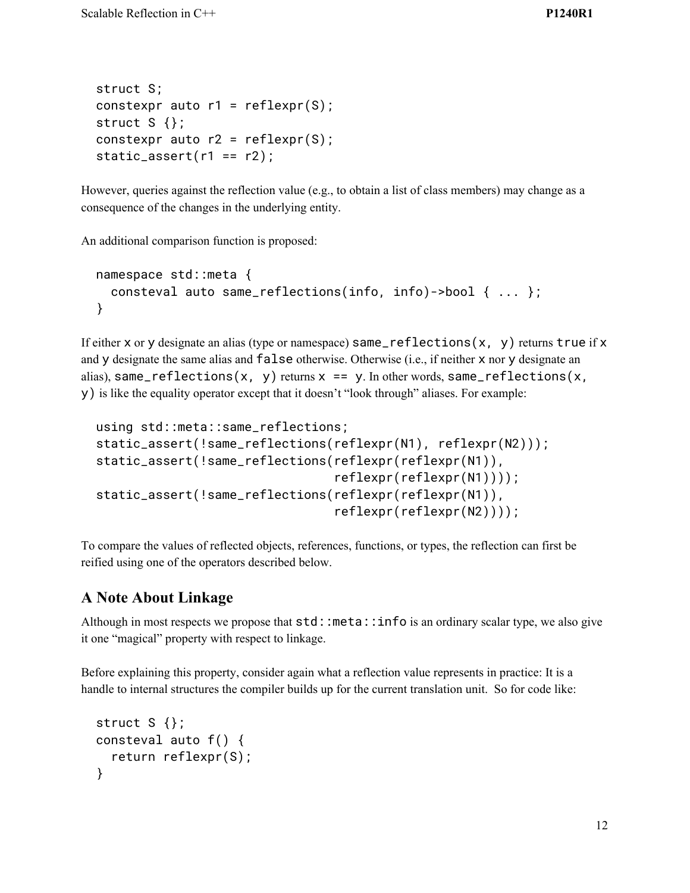```
struct S;
constexpr auto r1 = reflexpr(S);
struct S \};
constexpr auto r2 = reflexpr(S);
static_assert(r1 == r2);
```
However, queries against the reflection value (e.g., to obtain a list of class members) may change as a consequence of the changes in the underlying entity.

An additional comparison function is proposed:

```
namespace std::meta {
  consteval auto same_reflections(info, info)->bool { ... };
}
```
If either x or y designate an alias (type or namespace)  $same_reflections(x, y)$  returns true if x and y designate the same alias and false otherwise. Otherwise (i.e., if neither x nor y designate an alias), same\_reflections(x, y) returns  $x == y$ . In other words, same\_reflections(x, y) is like the equality operator except that it doesn't "look through" aliases. For example:

```
using std::meta::same_reflections;
static_assert(!same_reflections(reflexpr(N1), reflexpr(N2)));
static_assert(!same_reflections(reflexpr(reflexpr(N1)),
                                reflexpr(reflexpr(N1))));
static_assert(!same_reflections(reflexpr(reflexpr(N1)),
                                reflexpr(reflexpr(N2))));
```
To compare the values of reflected objects, references, functions, or types, the reflection can first be reified using one of the operators described below.

# **A Note About Linkage**

Although in most respects we propose that  $std:$ : meta:: info is an ordinary scalar type, we also give it one "magical" property with respect to linkage.

Before explaining this property, consider again what a reflection value represents in practice: It is a handle to internal structures the compiler builds up for the current translation unit. So for code like:

```
struct S \{\};
consteval auto f() {
  return reflexpr(S);
}
```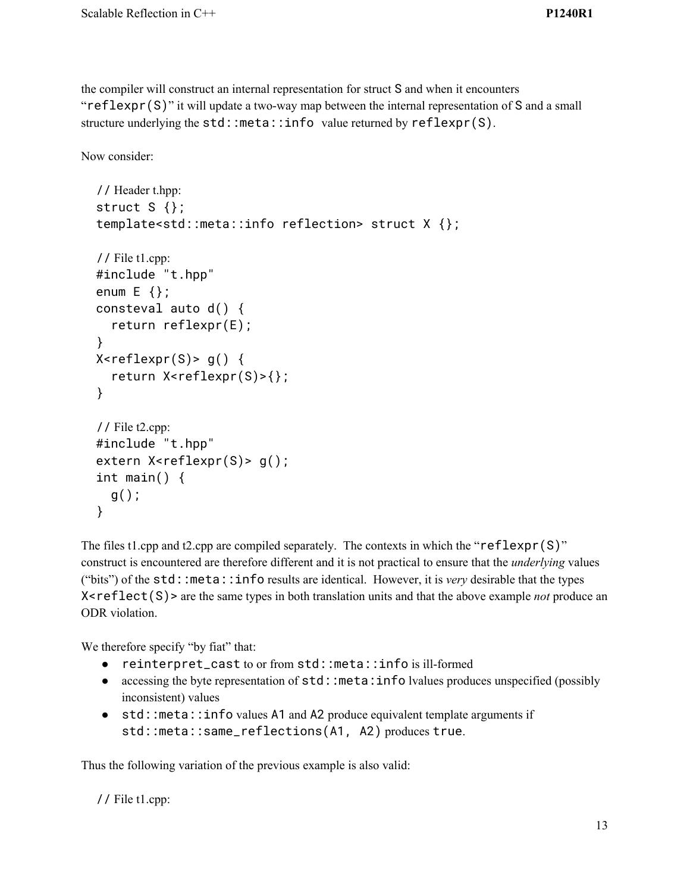the compiler will construct an internal representation for struct S and when it encounters "reflexpr(S)" it will update a two-way map between the internal representation of S and a small structure underlying the std::meta::info value returned by reflexpr(S).

Now consider:

```
// Header t.hpp:
struct S {};
template<std::meta::info reflection> struct X {};
// File t1.cpp:
#include "t.hpp"
enum E {};
consteval auto d() {
  return reflexpr(E);
}
X <reflexpr(S)> g() {
  return X<reflexpr(S)>{};
}
// File t2.cpp:
#include "t.hpp"
extern X<reflexpr(S)> g();
int main() {
  g();
}
```
The files t1.cpp and t2.cpp are compiled separately. The contexts in which the " $reflexpr(S)$ " construct is encountered are therefore different and it is not practical to ensure that the *underlying* values ("bits") of the std::meta::info results are identical. However, it is *very* desirable that the types X<reflect(S)> are the same types in both translation units and that the above example *not* produce an ODR violation.

We therefore specify "by fiat" that:

- reinterpret\_cast to or from std::meta::info is ill-formed
- accessing the byte representation of  $std:$ : meta: info lvalues produces unspecified (possibly inconsistent) values
- std::meta::info values A1 and A2 produce equivalent template arguments if std::meta::same\_reflections(A1, A2) produces true.

Thus the following variation of the previous example is also valid:

// File t1.cpp: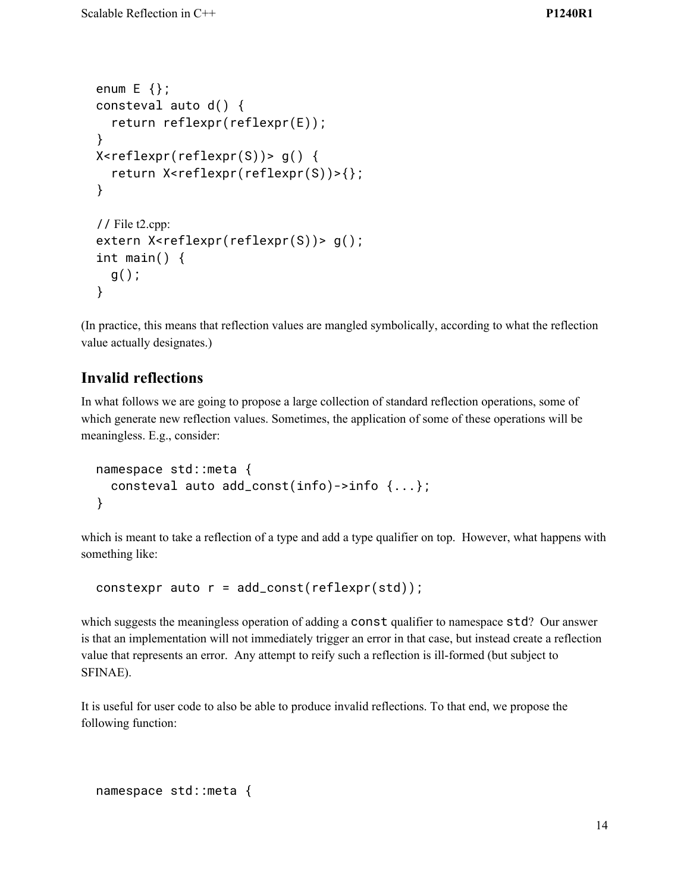```
enum E {};
consteval auto d() {
  return reflexpr(reflexpr(E));
}
X \leq r \in \text{lexpr}(reflexpr(S)) > q()return X<reflexpr(reflexpr(S))>{};
}
// File t2.cpp:
extern X<reflexpr(reflexpr(S))> g();
int main() {
  g();
}
```
(In practice, this means that reflection values are mangled symbolically, according to what the reflection value actually designates.)

## **Invalid reflections**

In what follows we are going to propose a large collection of standard reflection operations, some of which generate new reflection values. Sometimes, the application of some of these operations will be meaningless. E.g., consider:

```
namespace std::meta {
  consteval auto add_const(info)->info {...};
}
```
which is meant to take a reflection of a type and add a type qualifier on top. However, what happens with something like:

```
constexpr auto r = add\_const(reflexpr(std));
```
which suggests the meaningless operation of adding a const qualifier to namespace std? Our answer is that an implementation will not immediately trigger an error in that case, but instead create a reflection value that represents an error. Any attempt to reify such a reflection is ill-formed (but subject to SFINAE).

It is useful for user code to also be able to produce invalid reflections. To that end, we propose the following function:

```
namespace std::meta {
```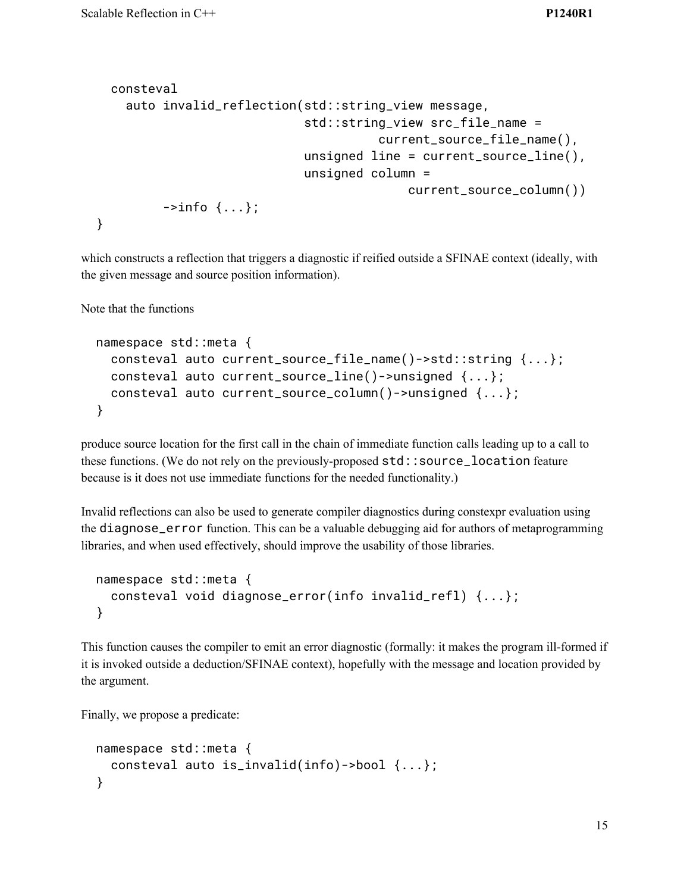```
consteval
    auto invalid_reflection(std::string_view message,
                              std::string_view src_file_name =
                                          current_source_file_name(),
                              unsigned line = current_source_line(),
                              unsigned column =
                                              current_source_column())
         \rightarrowinfo \{ \ldots \};
}
```
which constructs a reflection that triggers a diagnostic if reified outside a SFINAE context (ideally, with the given message and source position information).

Note that the functions

```
namespace std::meta {
  consteval auto current_source_file_name()->std::string {...};
  consteval auto current_source_line()->unsigned {...};
  consteval auto current_source_column()->unsigned {...};
}
```
produce source location for the first call in the chain of immediate function calls leading up to a call to these functions. (We do not rely on the previously-proposed std::source\_location feature because is it does not use immediate functions for the needed functionality.)

Invalid reflections can also be used to generate compiler diagnostics during constexpr evaluation using the diagnose\_error function. This can be a valuable debugging aid for authors of metaprogramming libraries, and when used effectively, should improve the usability of those libraries.

```
namespace std::meta {
  consteval void diagnose_error(info invalid_refl) {...};
}
```
This function causes the compiler to emit an error diagnostic (formally: it makes the program ill-formed if it is invoked outside a deduction/SFINAE context), hopefully with the message and location provided by the argument.

Finally, we propose a predicate:

```
namespace std::meta {
  consteval auto is_invalid(info)->bool {...};
}
```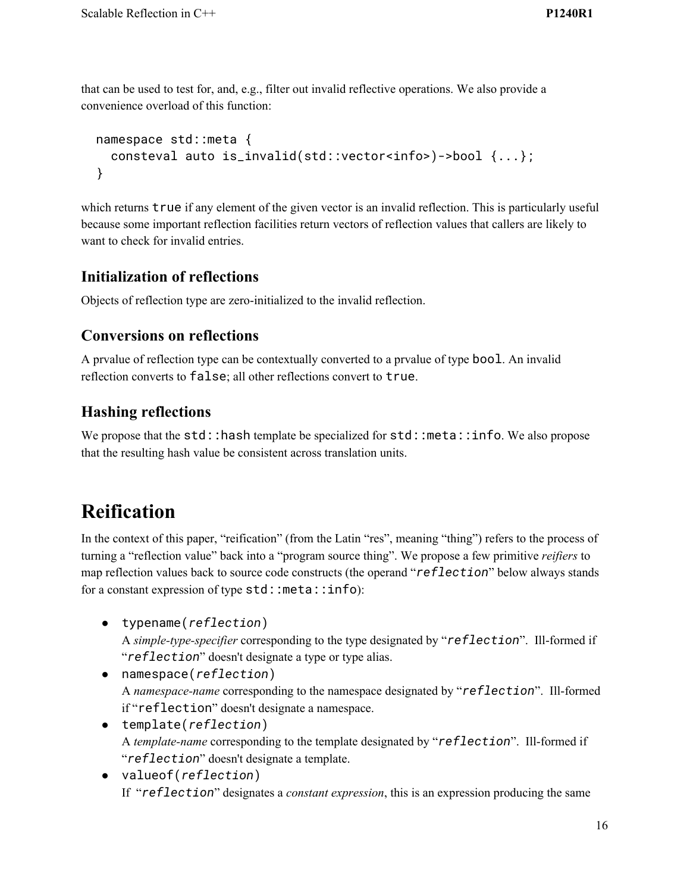that can be used to test for, and, e.g., filter out invalid reflective operations. We also provide a convenience overload of this function:

```
namespace std::meta {
  consteval auto is_invalid(std::vector<info>)->bool {...};
}
```
which returns **true** if any element of the given vector is an invalid reflection. This is particularly useful because some important reflection facilities return vectors of reflection values that callers are likely to want to check for invalid entries.

## **Initialization of reflections**

Objects of reflection type are zero-initialized to the invalid reflection.

## **Conversions on reflections**

A prvalue of reflection type can be contextually converted to a prvalue of type bool. An invalid reflection converts to false; all other reflections convert to true.

# **Hashing reflections**

We propose that the std::hash template be specialized for std::meta::info. We also propose that the resulting hash value be consistent across translation units.

# **Reification**

In the context of this paper, "reification" (from the Latin "res", meaning "thing") refers to the process of turning a "reflection value" back into a "program source thing". We propose a few primitive *reifiers* to map reflection values back to source code constructs (the operand "*reflection*" below always stands for a constant expression of type  $std::meta::info):$ 

- typename(*reflection*) A *simple-type-specifier* corresponding to the type designated by "*reflection*". Ill-formed if "*reflection*" doesn't designate a type or type alias.
- namespace(*reflection*) A *namespace-name* corresponding to the namespace designated by "*reflection*". Ill-formed if "reflection" doesn't designate a namespace.
- template(*reflection*) A *template-name* corresponding to the template designated by "*reflection*". Ill-formed if "*reflection*" doesn't designate a template.
- valueof(*reflection*) If "*reflection*" designates a *constant expression*, this is an expression producing the same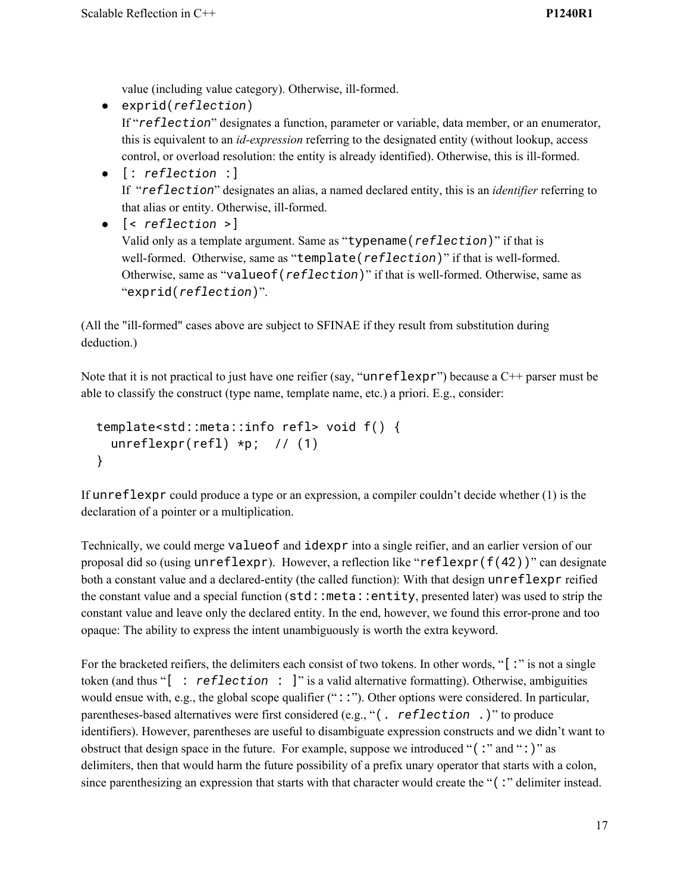value (including value category). Otherwise, ill-formed.

- exprid(*reflection*) If "*reflection*" designates a function, parameter or variable, data member, or an enumerator, this is equivalent to an *id-expression* referring to the designated entity (without lookup, access control, or overload resolution: the entity is already identified). Otherwise, this is ill-formed.
- [: *reflection* :] If "*reflection*" designates an alias, a named declared entity, this is an *identifier* referring to that alias or entity. Otherwise, ill-formed.
- [< *reflection* >] Valid only as a template argument. Same as "typename(*reflection*)" if that is well-formed. Otherwise, same as "template(*reflection*)" if that is well-formed. Otherwise, same as "valueof(*reflection*)" if that is well-formed. Otherwise, same as "exprid(*reflection*)".

(All the "ill-formed" cases above are subject to SFINAE if they result from substitution during deduction.)

Note that it is not practical to just have one reifier (say, "unreflexpr") because a C++ parser must be able to classify the construct (type name, template name, etc.) a priori. E.g., consider:

```
template<std::meta::info refl> void f() {
 unreflexpr(refl) *p; // (1)
}
```
If unreflexpr could produce a type or an expression, a compiler couldn't decide whether (1) is the declaration of a pointer or a multiplication.

Technically, we could merge valueof and idexpr into a single reifier, and an earlier version of our proposal did so (using  $unreflexpr$ ). However, a reflection like "reflexpr(f(42))" can designate both a constant value and a declared-entity (the called function): With that design unreflexpr reified the constant value and a special function (std::meta::entity, presented later) was used to strip the constant value and leave only the declared entity. In the end, however, we found this error-prone and too opaque: The ability to express the intent unambiguously is worth the extra keyword.

For the bracketed reifiers, the delimiters each consist of two tokens. In other words, "[:" is not a single token (and thus "[ : *reflection* : ]" is a valid alternative formatting). Otherwise, ambiguities would ensue with, e.g., the global scope qualifier ("::"). Other options were considered. In particular, parentheses-based alternatives were first considered (e.g., "(. *reflection* .)" to produce identifiers). However, parentheses are useful to disambiguate expression constructs and we didn't want to obstruct that design space in the future. For example, suppose we introduced "(:" and ":)" as delimiters, then that would harm the future possibility of a prefix unary operator that starts with a colon, since parenthesizing an expression that starts with that character would create the "(:" delimiter instead.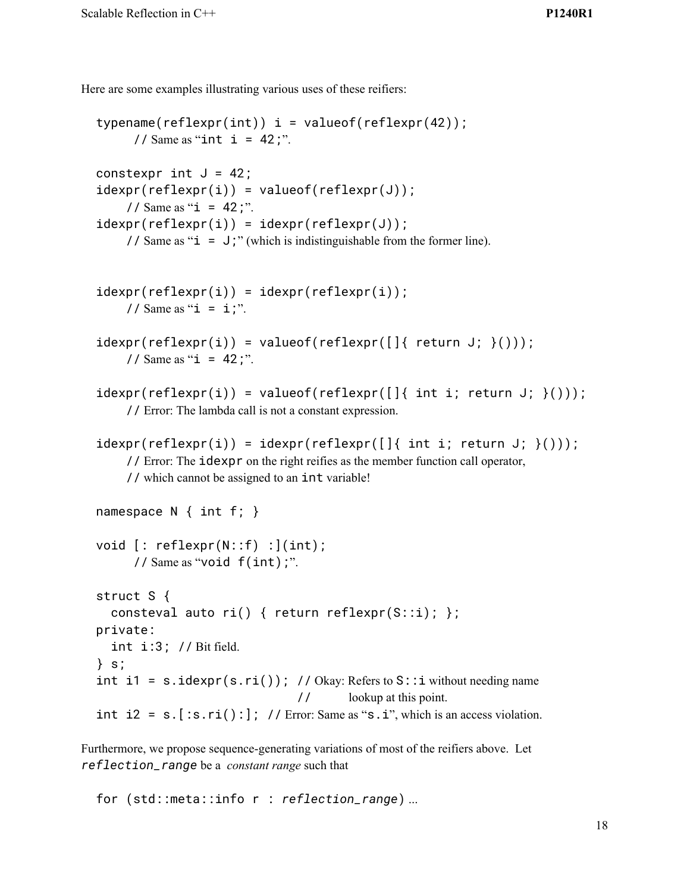Here are some examples illustrating various uses of these reifiers:

```
typename(reflexpr(int)) i = valueof(reflexpr(42));
      // Same as "int i = 42;".
constexpr int J = 42;
idexpr(reflexpr(i)) = valueof(reflexpr(J));// Same as "i = 42;".
idexpr(reflexpr(i)) = idexpr(reflexpr(J));// Same as "i = J;" (which is indistinguishable from the former line).
idexpr(reflexpr(i)) = idexpr(reflexpr(i));// Same as "i = i;".
idexpr(reflexpr(i)) = valueof(reflexpr([]{\text{ return }J; })(),// Same as "i = 42;".
idexpr(reflexpr(i)) = valueof(reflexpr([[iint i; return J; )|));// Error: The lambda call is not a constant expression.
idexpr(reflexpr(i)) = idexpr(reflexpr([]{int i, return J; })// Error: The idexpr on the right reifies as the member function call operator,
    // which cannot be assigned to an int variable!
namespace N { int f; }
void [: reflexpr(N::f) :](int);
     // Same as "void f(int);".
struct S {
  consteval auto ri() { return reflexpr(S::i); };
private:
  int i:3; // Bit field.
} s;
int i1 = s.idexpr(s, ri()); // Okay: Refers to S: i without needing name
                               // lookup at this point.
int i2 = s. [:s.ri():]; // Error: Same as "s.i", which is an access violation.
```
Furthermore, we propose sequence-generating variations of most of the reifiers above. Let *reflection\_range* be a *constant range* such that

for (std::meta::info r : *reflection\_range*) ...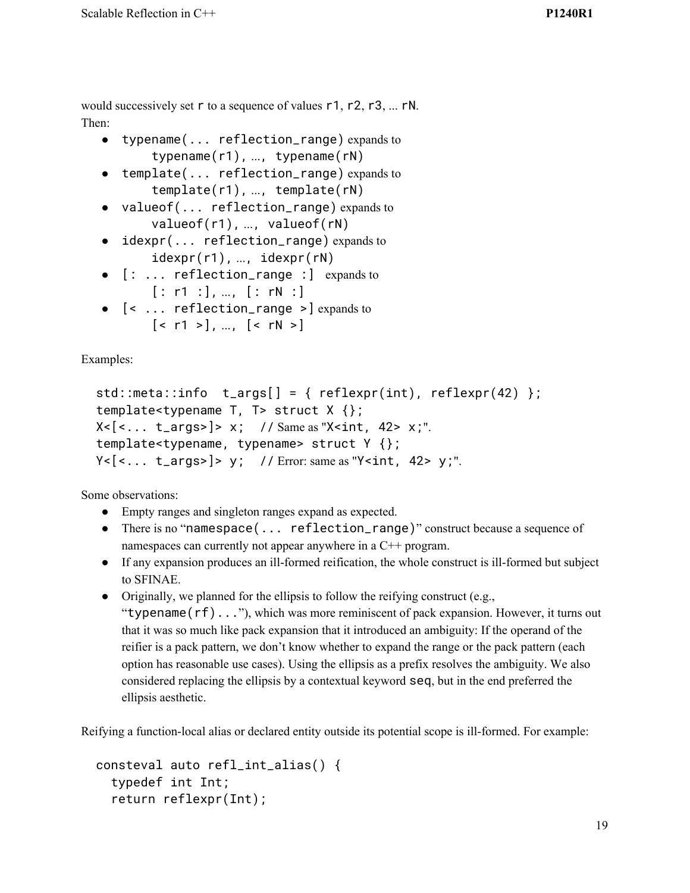would successively set r to a sequence of values r1, r2, r3, ... rN. Then:

- typename(... reflection\_range) expands to typename(r1), ..., typename(rN)
- template(... reflection\_range) expands to template(r1), ..., template(rN)
- valueof(... reflection\_range) expands to valueof(r1), ..., valueof(rN)
- idexpr(... reflection\_range) expands to idexpr(r1), ..., idexpr(rN)
- [: ... reflection\_range :] expands to  $[: r1 :], ..., [ : rN :]$
- [< ... reflection\_range >] expands to  $\lceil$  < r1 >  $\rceil$ , ...,  $\lceil$  < rN >  $\rceil$

Examples:

```
std::meta::info t_args[] = { reflexpr(int), reflexpr(42) };
template<typename T, T> struct X {};
X < [2, 1, 1, 2] > x; // Same as "X \{1, 42 > x; ...template<typename, typename> struct Y {};
Y<|<... t_args>|>y; // Error: same as "Y <int, 42> y;".
```
Some observations:

- Empty ranges and singleton ranges expand as expected.
- There is no "namespace(... reflection\_range)" construct because a sequence of namespaces can currently not appear anywhere in a C++ program.
- If any expansion produces an ill-formed reification, the whole construct is ill-formed but subject to SFINAE.
- Originally, we planned for the ellipsis to follow the reifying construct (e.g.,

"typename( $rf)$ ..."), which was more reminiscent of pack expansion. However, it turns out that it was so much like pack expansion that it introduced an ambiguity: If the operand of the reifier is a pack pattern, we don't know whether to expand the range or the pack pattern (each option has reasonable use cases). Using the ellipsis as a prefix resolves the ambiguity. We also considered replacing the ellipsis by a contextual keyword seq, but in the end preferred the ellipsis aesthetic.

Reifying a function-local alias or declared entity outside its potential scope is ill-formed. For example:

```
consteval auto refl_int_alias() {
  typedef int Int;
  return reflexpr(Int);
```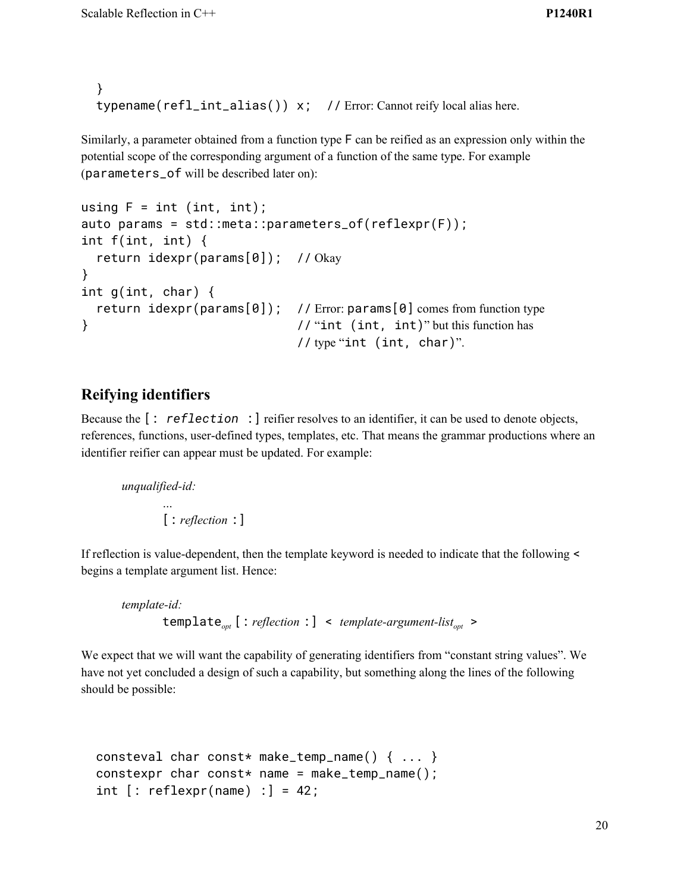```
}
typename(refl_int_alias()) x; // Error: Cannot reify local alias here.
```
Similarly, a parameter obtained from a function type F can be reified as an expression only within the potential scope of the corresponding argument of a function of the same type. For example (parameters\_of will be described later on):

```
using F = int (int, int);auto params = std::meta::parameters_of(reflexpr(F));
int f(int, int) {
  return idexpr(params[0]); // Okay
}
int g(int, char) {
 return idexpr(params[0]); // Error: params[0] comes from function type
} // "int (int, int)" but this function has
                             // type "int (int, char)".
```
## **Reifying identifiers**

Because the [: *reflection* :] reifier resolves to an identifier, it can be used to denote objects, references, functions, user-defined types, templates, etc. That means the grammar productions where an identifier reifier can appear must be updated. For example:

*unqualified-id:*

*…*

[: *reflection* :]

If reflection is value-dependent, then the template keyword is needed to indicate that the following < begins a template argument list. Hence:

*template-id:* template*opt* [: *reflection* :] < *template-argument-listopt* >

We expect that we will want the capability of generating identifiers from "constant string values". We have not yet concluded a design of such a capability, but something along the lines of the following should be possible:

```
consteval char const* make_temp_name() \{ \ldots \}constexpr char const* name = make_temp_name();
int [:reflexpr(name) :] = 42;
```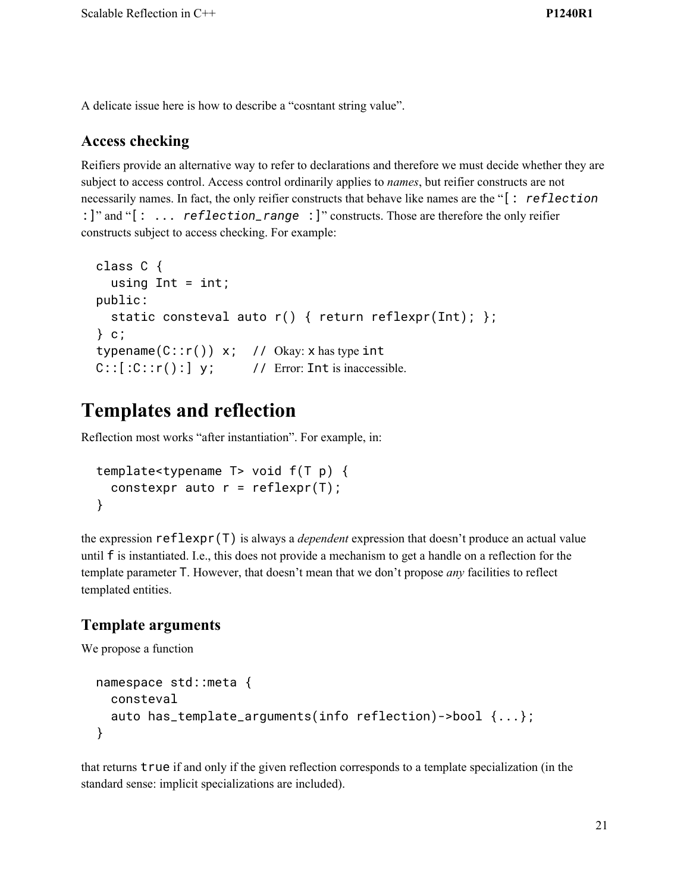A delicate issue here is how to describe a "cosntant string value".

## **Access checking**

Reifiers provide an alternative way to refer to declarations and therefore we must decide whether they are subject to access control. Access control ordinarily applies to *names*, but reifier constructs are not necessarily names. In fact, the only reifier constructs that behave like names are the "[: *reflection* :]" and "[: ... *reflection\_range* :]" constructs. Those are therefore the only reifier constructs subject to access checking. For example:

```
class C {
  using Int = int;public:
  static consteval auto r() { return reflexpr(Int); };
} c;
typename(C::r()) x; // Okay: x has type int
C::[C::r():] y; // Error: Int is inaccessible.
```
# **Templates and reflection**

Reflection most works "after instantiation". For example, in:

```
template<typename T> void f(T p) {
 constexpr auto r = reflexpr(T);
}
```
the expression reflexpr(T) is always a *dependent* expression that doesn't produce an actual value until f is instantiated. I.e., this does not provide a mechanism to get a handle on a reflection for the template parameter T. However, that doesn't mean that we don't propose *any* facilities to reflect templated entities.

# **Template arguments**

We propose a function

```
namespace std::meta {
  consteval
  auto has_template_arguments(info reflection)->bool {...};
}
```
that returns true if and only if the given reflection corresponds to a template specialization (in the standard sense: implicit specializations are included).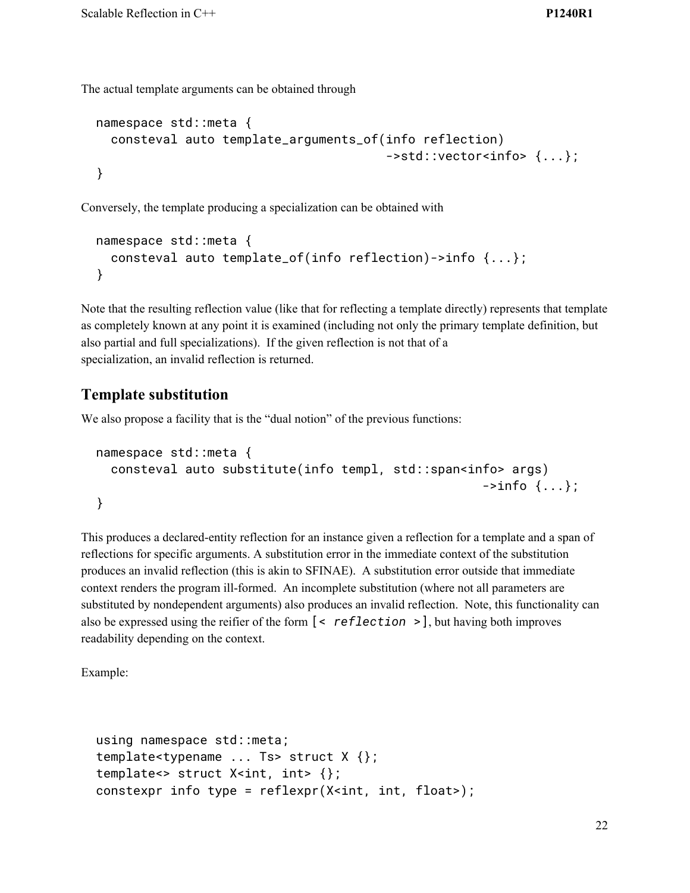The actual template arguments can be obtained through

```
namespace std::meta {
 consteval auto template_arguments_of(info reflection)
                                        ->std::vector<info> {...};
}
```
Conversely, the template producing a specialization can be obtained with

```
namespace std::meta {
  consteval auto template_of(info reflection)->info {...};
}
```
Note that the resulting reflection value (like that for reflecting a template directly) represents that template as completely known at any point it is examined (including not only the primary template definition, but also partial and full specializations). If the given reflection is not that of a specialization, an invalid reflection is returned.

### **Template substitution**

We also propose a facility that is the "dual notion" of the previous functions:

```
namespace std::meta {
  consteval auto substitute(info templ, std::span<info> args)
                                                              \rightarrowinfo \{ \ldots \};
}
```
This produces a declared-entity reflection for an instance given a reflection for a template and a span of reflections for specific arguments. A substitution error in the immediate context of the substitution produces an invalid reflection (this is akin to SFINAE). A substitution error outside that immediate context renders the program ill-formed. An incomplete substitution (where not all parameters are substituted by nondependent arguments) also produces an invalid reflection. Note, this functionality can also be expressed using the reifier of the form [< *reflection* >], but having both improves readability depending on the context.

Example:

```
using namespace std::meta;
template<typename ... Ts> struct X {};
template<> struct X<int, int> {};
constexpr info type = reflexpr(X<int, int, float>);
```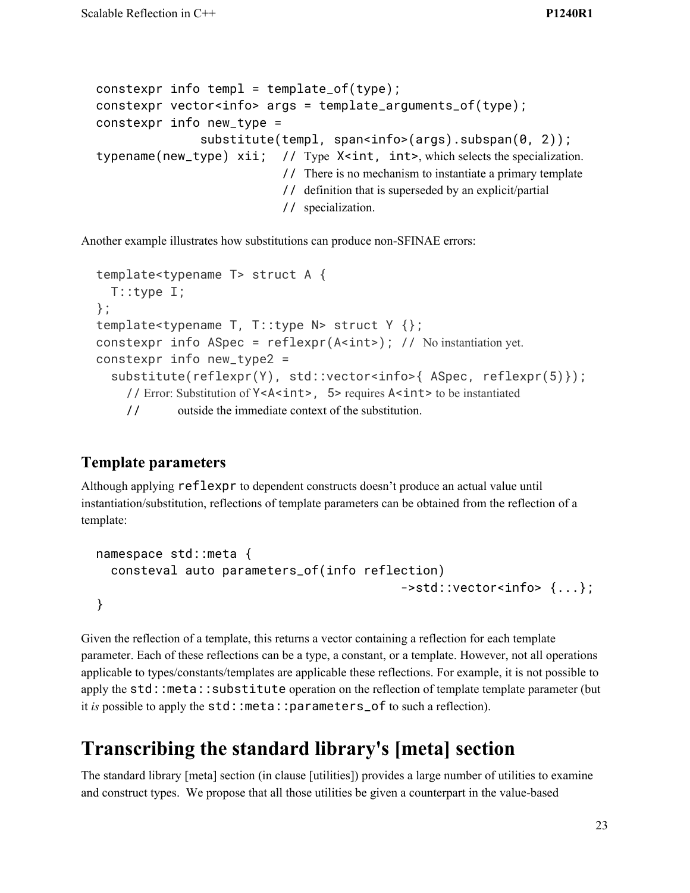```
constexpr info templ = template_of(type);
constexpr vector<info> args = template_arguments_of(type);
constexpr info new_type =
                substitute(templ, span<info>(args).subspan(0, 2));
typename(new_type) xii; // Type X<int, int>, which selects the specialization.
                             // There is no mechanism to instantiate a primary template
                             // definition that is superseded by an explicit/partial
                             // specialization.
```
Another example illustrates how substitutions can produce non-SFINAE errors:

```
template<typename T> struct A {
  T::type I;
};
template<typename T, T::type N> struct Y {};
constexpr info ASpec = reflexpr(A<int>); // No instantiation yet.
constexpr info new_type2 =
  substitute(reflexpr(Y), std::vector<info>{ ASpec, reflexpr(5)});
    // Error: Substitution of Y<A<int>, 5> requires A<int> to be instantiated
    // outside the immediate context of the substitution.
```
# **Template parameters**

Although applying reflexpr to dependent constructs doesn't produce an actual value until instantiation/substitution, reflections of template parameters can be obtained from the reflection of a template:

```
namespace std::meta {
  consteval auto parameters_of(info reflection)
                                          ->std::vector<info> {...};
}
```
Given the reflection of a template, this returns a vector containing a reflection for each template parameter. Each of these reflections can be a type, a constant, or a template. However, not all operations applicable to types/constants/templates are applicable these reflections. For example, it is not possible to apply the std::meta::substitute operation on the reflection of template template parameter (but it *is* possible to apply the std::meta::parameters\_of to such a reflection).

# **Transcribing the standard library's [meta] section**

The standard library [meta] section (in clause [utilities]) provides a large number of utilities to examine and construct types. We propose that all those utilities be given a counterpart in the value-based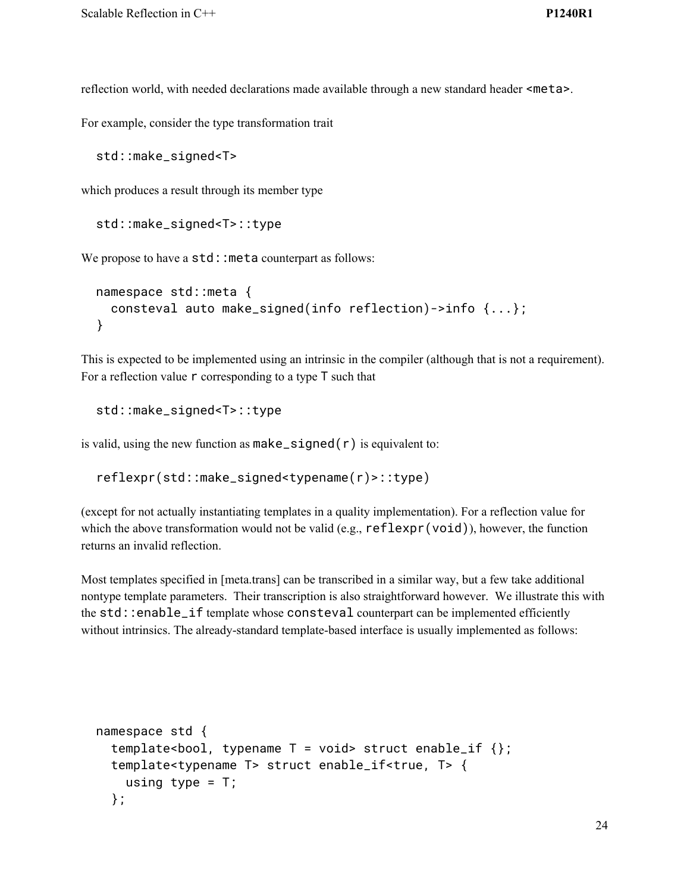reflection world, with needed declarations made available through a new standard header <meta>.

For example, consider the type transformation trait

std::make\_signed<T>

which produces a result through its member type

```
std::make_signed<T>::type
```
We propose to have a std: : meta counterpart as follows:

```
namespace std::meta {
 consteval auto make_signed(info reflection)->info {...};
}
```
This is expected to be implemented using an intrinsic in the compiler (although that is not a requirement). For a reflection value  $\mathsf r$  corresponding to a type  $\mathsf T$  such that

std::make\_signed<T>::type

is valid, using the new function as  $make\_signed(r)$  is equivalent to:

```
reflexpr(std::make_signed<typename(r)>::type)
```
(except for not actually instantiating templates in a quality implementation). For a reflection value for which the above transformation would not be valid (e.g.,  $reflexpr(void)$ ), however, the function returns an invalid reflection.

Most templates specified in [meta.trans] can be transcribed in a similar way, but a few take additional nontype template parameters. Their transcription is also straightforward however. We illustrate this with the std::enable\_if template whose consteval counterpart can be implemented efficiently without intrinsics. The already-standard template-based interface is usually implemented as follows:

```
namespace std {
  template<br/>>bool, typename T = void> struct enable_if {};
  template<typename T> struct enable_if<true, T> {
    using type = T;
  };
```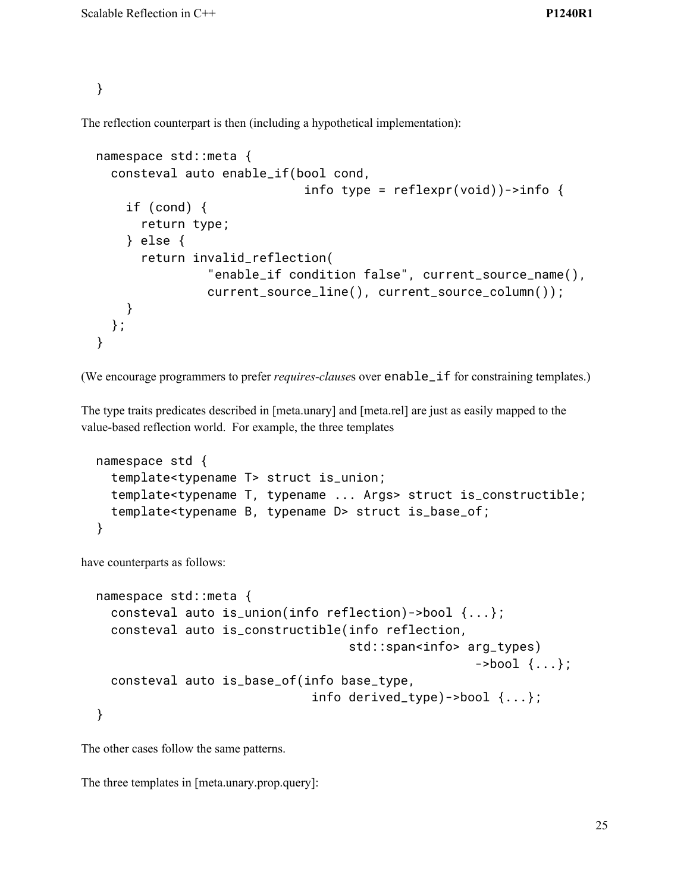}

The reflection counterpart is then (including a hypothetical implementation):

```
namespace std::meta {
  consteval auto enable_if(bool cond,
                             info type = reflexpr(void))\rightarrow info {
    if (cond) {
      return type;
    } else {
      return invalid_reflection(
                "enable_if condition false", current_source_name(),
                current_source_line(), current_source_column());
    }
 };
}
```
(We encourage programmers to prefer *requires-clause*s over enable\_if for constraining templates.)

The type traits predicates described in [meta.unary] and [meta.rel] are just as easily mapped to the value-based reflection world. For example, the three templates

```
namespace std {
  template<typename T> struct is_union;
  template<typename T, typename ... Args> struct is_constructible;
  template<typename B, typename D> struct is_base_of;
}
```
have counterparts as follows:

```
namespace std::meta {
  consteval auto is_union(info reflection)->bool {...};
  consteval auto is_constructible(info reflection,
                                   std::span<info> arg_types)
                                                    ->bool \{... \};
  consteval auto is_base_of(info base_type,
                              info derived_type)->bool {...};
}
```
The other cases follow the same patterns.

The three templates in [meta.unary.prop.query]: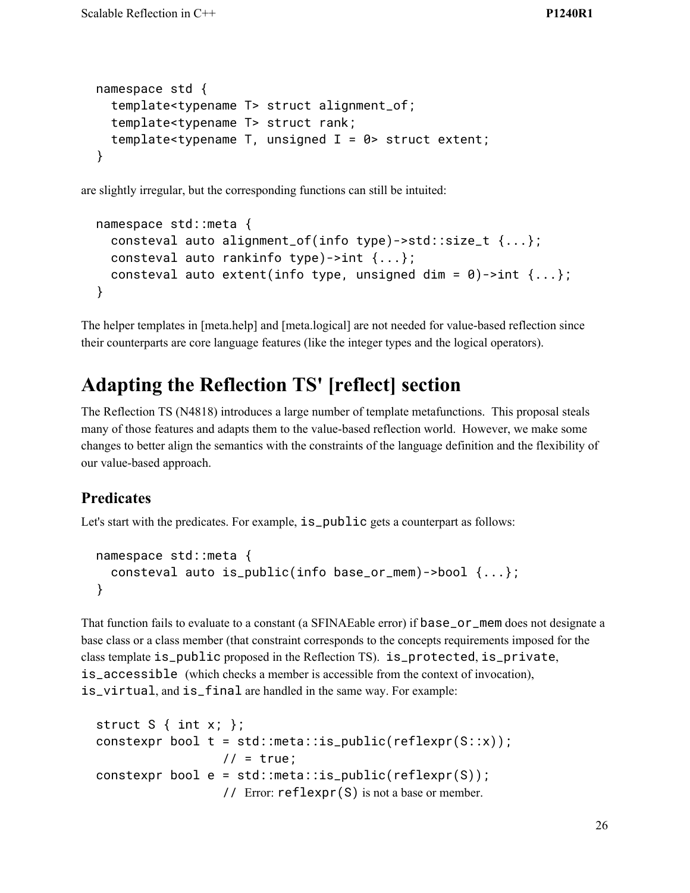```
namespace std {
 template<typename T> struct alignment_of;
 template<typename T> struct rank;
 template<typename T, unsigned I = 0> struct extent;
}
```
are slightly irregular, but the corresponding functions can still be intuited:

```
namespace std::meta {
  consteval auto alignment_of(info type)->std::size_t {...};
  consteval auto rankinfo type)->int {...};
  consteval auto extent(info type, unsigned dim = \theta)->int {...};
}
```
The helper templates in [meta.help] and [meta.logical] are not needed for value-based reflection since their counterparts are core language features (like the integer types and the logical operators).

# **Adapting the Reflection TS' [reflect] section**

The Reflection TS (N4818) introduces a large number of template metafunctions. This proposal steals many of those features and adapts them to the value-based reflection world. However, we make some changes to better align the semantics with the constraints of the language definition and the flexibility of our value-based approach.

### **Predicates**

Let's start with the predicates. For example,  $is\_public$  gets a counterpart as follows:

```
namespace std::meta {
  consteval auto is_public(info base_or_mem)->bool {...};
}
```
That function fails to evaluate to a constant (a SFINAEable error) if base\_or\_mem does not designate a base class or a class member (that constraint corresponds to the concepts requirements imposed for the class template is\_public proposed in the Reflection TS). is\_protected, is\_private, is\_accessible (which checks a member is accessible from the context of invocation), is\_virtual, and is\_final are handled in the same way. For example:

```
struct S \{ int x; \};
constexpr bool t = std::meta::is\_public(reflexpr(S::x));// = true;constexpr bool e = std::meta::is\_public(reflexpr(S));// Error: reflexpr(S) is not a base or member.
```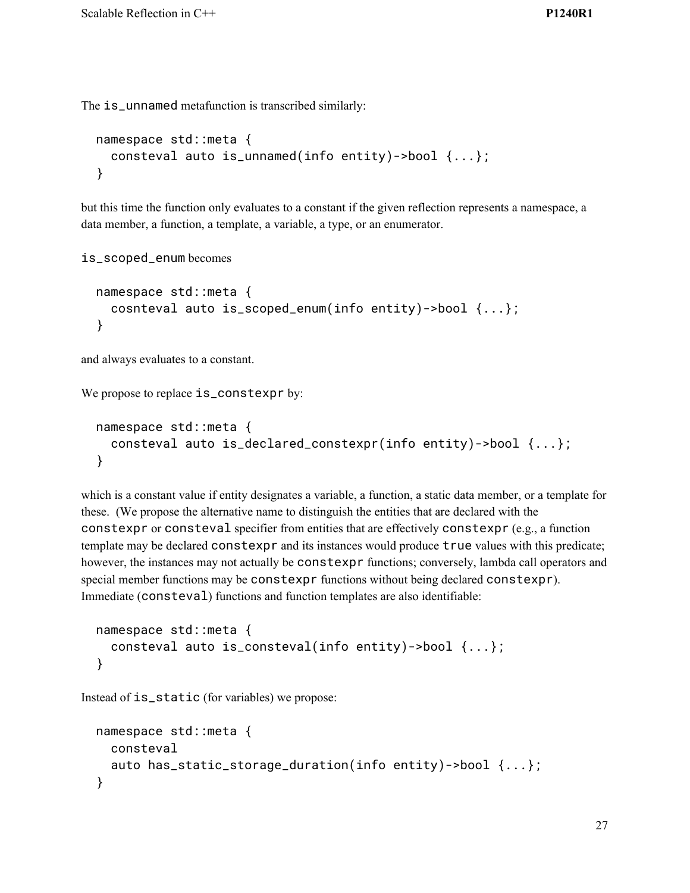The is\_unnamed metafunction is transcribed similarly:

```
namespace std::meta {
  consteval auto is_unnamed(info entity)->bool {...};
}
```
but this time the function only evaluates to a constant if the given reflection represents a namespace, a data member, a function, a template, a variable, a type, or an enumerator.

```
is_scoped_enum becomes
```

```
namespace std::meta {
  cosnteval auto is_scoped_enum(info entity)->bool {...};
}
```
and always evaluates to a constant.

We propose to replace is\_constexpr by:

```
namespace std::meta {
  consteval auto is_declared_constexpr(info entity)->bool {...};
}
```
which is a constant value if entity designates a variable, a function, a static data member, or a template for these. (We propose the alternative name to distinguish the entities that are declared with the constexpr or consteval specifier from entities that are effectively constexpr (e.g., a function template may be declared constexpr and its instances would produce true values with this predicate; however, the instances may not actually be constexpr functions; conversely, lambda call operators and special member functions may be constexpr functions without being declared constexpr). Immediate (consteval) functions and function templates are also identifiable:

```
namespace std::meta {
  consteval auto is_consteval(info entity)->bool {...};
}
```
Instead of is\_static (for variables) we propose:

```
namespace std::meta {
  consteval
  auto has_static_storage_duration(info entity)->bool {...};
}
```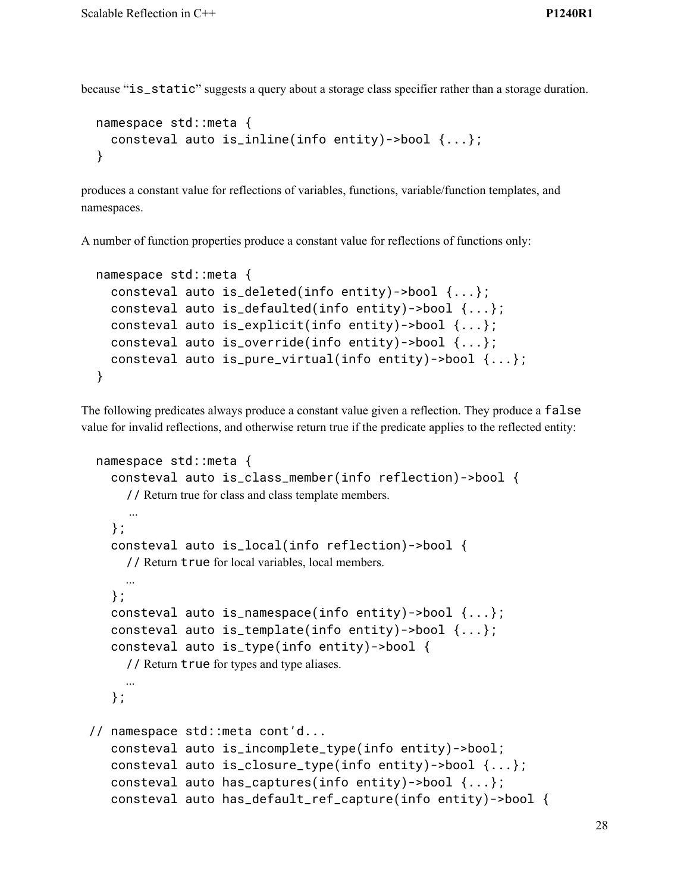because "is\_static" suggests a query about a storage class specifier rather than a storage duration.

```
namespace std::meta {
  consteval auto is_inline(info entity)->bool {...};
}
```
produces a constant value for reflections of variables, functions, variable/function templates, and namespaces.

A number of function properties produce a constant value for reflections of functions only:

```
namespace std::meta {
  consteval auto is_deleted(info entity)->bool {...};
  consteval auto is_defaulted(info entity)->bool {...};
  consteval auto is_explicit(info entity)->bool {...};
  consteval auto is_override(info entity)->bool {...};
  consteval auto is_pure_virtual(info entity)->bool {...};
}
```
The following predicates always produce a constant value given a reflection. They produce a false value for invalid reflections, and otherwise return true if the predicate applies to the reflected entity:

```
namespace std::meta {
   consteval auto is_class_member(info reflection)->bool {
     // Return true for class and class template members.
     ...
   };
   consteval auto is_local(info reflection)->bool {
     // Return true for local variables, local members.
     ...
   };
   consteval auto is_namespace(info entity)->bool {...};
   consteval auto is_template(info entity)->bool {...};
   consteval auto is_type(info entity)->bool {
     // Return true for types and type aliases.
     ...
   };
// namespace std::meta cont'd...
   consteval auto is_incomplete_type(info entity)->bool;
   consteval auto is_closure_type(info entity)->bool {...};
   consteval auto has_captures(info entity)->bool {...};
   consteval auto has_default_ref_capture(info entity)->bool {
```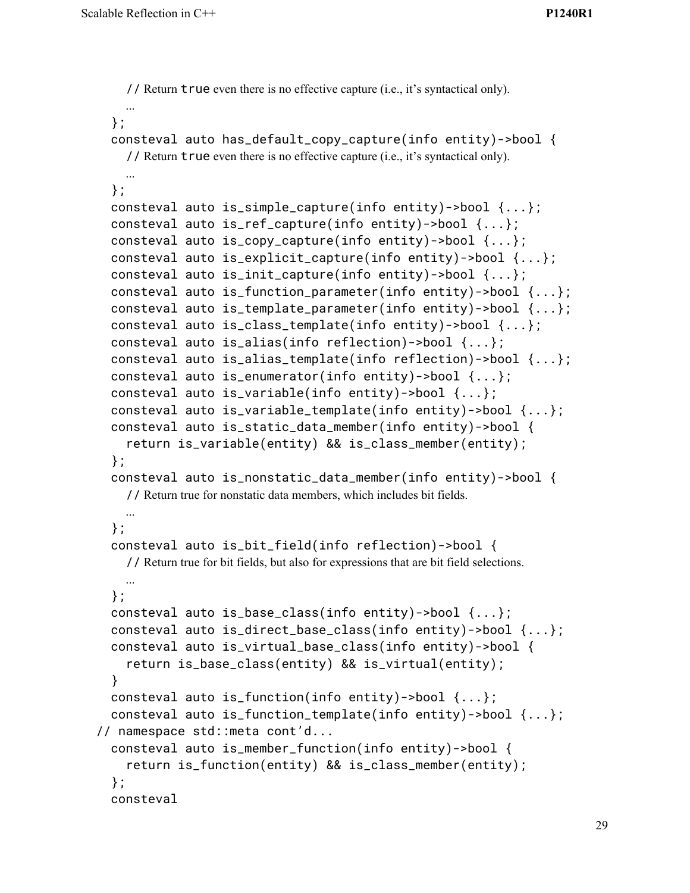```
// Return true even there is no effective capture (i.e., it's syntactical only).
    ...
 };
 consteval auto has_default_copy_capture(info entity)->bool {
    // Return true even there is no effective capture (i.e., it's syntactical only).
   ...
 };
 consteval auto is_simple_capture(info entity)->bool {...};
 consteval auto is_ref_capture(info entity)->bool {...};
 consteval auto is_copy_capture(info entity)->bool {...};
 consteval auto is_explicit_capture(info entity)->bool {...};
 consteval auto is_init_capture(info entity)->bool {...};
 consteval auto is_function_parameter(info entity)->bool {...};
 consteval auto is_template_parameter(info entity)->bool {...};
 consteval auto is_class_template(info entity)->bool {...};
 consteval auto is_alias(info reflection)->bool {...};
 consteval auto is_alias_template(info reflection)->bool {...};
 consteval auto is_enumerator(info entity)->bool {...};
 consteval auto is_variable(info entity)->bool {...};
 consteval auto is_variable_template(info entity)->bool {...};
 consteval auto is_static_data_member(info entity)->bool {
    return is_variable(entity) && is_class_member(entity);
 };
 consteval auto is_nonstatic_data_member(info entity)->bool {
    // Return true for nonstatic data members, which includes bit fields.
   ...
 };
 consteval auto is_bit_field(info reflection)->bool {
    // Return true for bit fields, but also for expressions that are bit field selections.
   ...
 };
 consteval auto is_base_class(info entity)->bool {...};
 consteval auto is_direct_base_class(info entity)->bool {...};
 consteval auto is_virtual_base_class(info entity)->bool {
    return is_base_class(entity) && is_virtual(entity);
 }
 consteval auto is_function(info entity)->bool \{ \ldots \};
 consteval auto is_function_template(info entity)->bool {...};
// namespace std::meta cont'd...
 consteval auto is_member_function(info entity)->bool {
    return is_function(entity) && is_class_member(entity);
 };
 consteval
```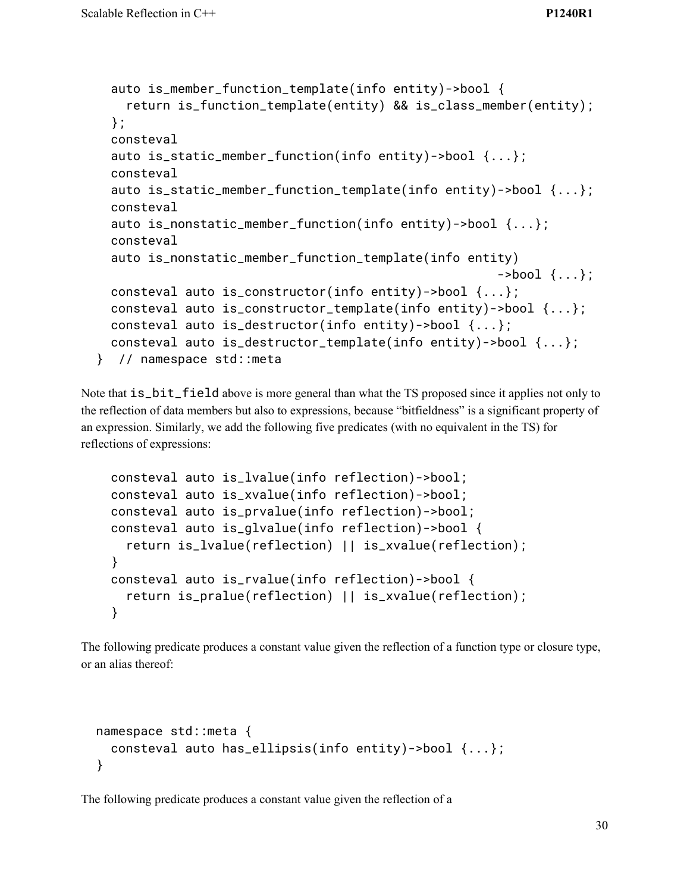```
auto is_member_function_template(info entity)->bool {
    return is_function_template(entity) && is_class_member(entity);
 };
 consteval
 auto is_static_member_function(info entity)->bool {...};
 consteval
 auto is_static_member_function_template(info entity)->bool {...};
 consteval
 auto is_nonstatic_member_function(info entity)->bool {...};
 consteval
 auto is_nonstatic_member_function_template(info entity)
                                                      ->bool \{... \};
 consteval auto is_constructor(info entity)->bool {...};
 consteval auto is_constructor_template(info entity)->bool {...};
 consteval auto is_destructor(info entity)->bool {...};
 consteval auto is_destructor_template(info entity)->bool {...};
} // namespace std::meta
```
Note that  $is\_bit\_field$  above is more general than what the TS proposed since it applies not only to the reflection of data members but also to expressions, because "bitfieldness" is a significant property of an expression. Similarly, we add the following five predicates (with no equivalent in the TS) for reflections of expressions:

```
consteval auto is_lvalue(info reflection)->bool;
consteval auto is_xvalue(info reflection)->bool;
consteval auto is_prvalue(info reflection)->bool;
consteval auto is_glvalue(info reflection)->bool {
  return is_lvalue(reflection) || is_xvalue(reflection);
}
consteval auto is_rvalue(info reflection)->bool {
  return is_pralue(reflection) || is_xvalue(reflection);
}
```
The following predicate produces a constant value given the reflection of a function type or closure type, or an alias thereof:

```
namespace std::meta {
  consteval auto has_ellipsis(info entity)->bool {...};
}
```
The following predicate produces a constant value given the reflection of a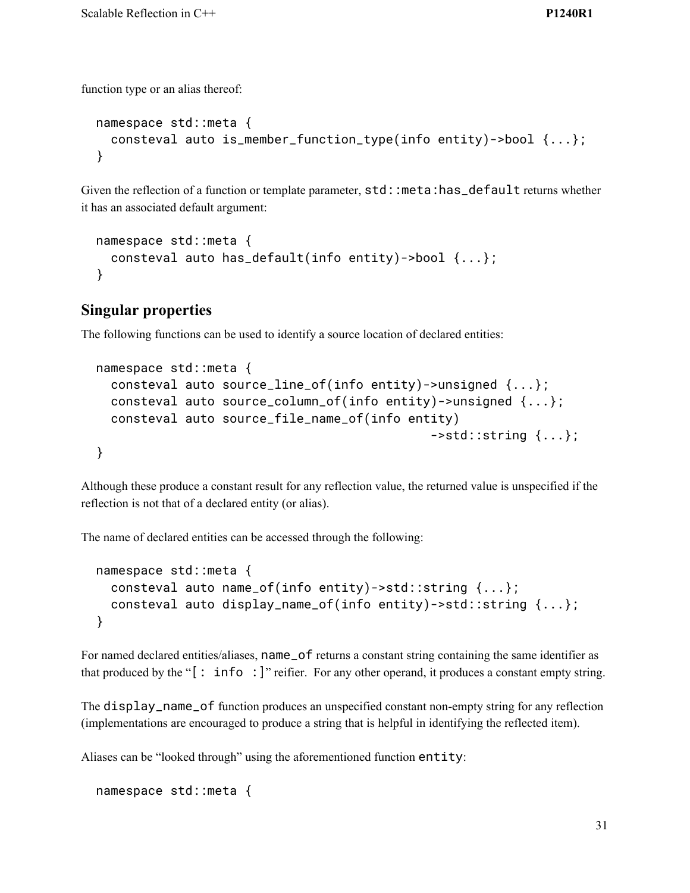function type or an alias thereof:

```
namespace std::meta {
  consteval auto is_member_function_type(info entity)->bool {...};
}
```
Given the reflection of a function or template parameter,  $std:$ :meta:has\_default returns whether it has an associated default argument:

```
namespace std::meta {
  consteval auto has_default(info entity)->bool {...};
}
```
# **Singular properties**

The following functions can be used to identify a source location of declared entities:

```
namespace std::meta {
  consteval auto source_line_of(info entity)->unsigned {...};
  consteval auto source_column_of(info entity)->unsigned {...};
  consteval auto source_file_name_of(info entity)
                                               ->std::string \{ \ldots \};
}
```
Although these produce a constant result for any reflection value, the returned value is unspecified if the reflection is not that of a declared entity (or alias).

The name of declared entities can be accessed through the following:

```
namespace std::meta {
  consteval auto name_of(info entity)->std::string {...};
  consteval auto display_name_of(info entity)->std::string {...};
}
```
For named declared entities/aliases, name\_of returns a constant string containing the same identifier as that produced by the "[: info :]" reifier. For any other operand, it produces a constant empty string.

The display\_name\_of function produces an unspecified constant non-empty string for any reflection (implementations are encouraged to produce a string that is helpful in identifying the reflected item).

Aliases can be "looked through" using the aforementioned function entity:

```
namespace std::meta {
```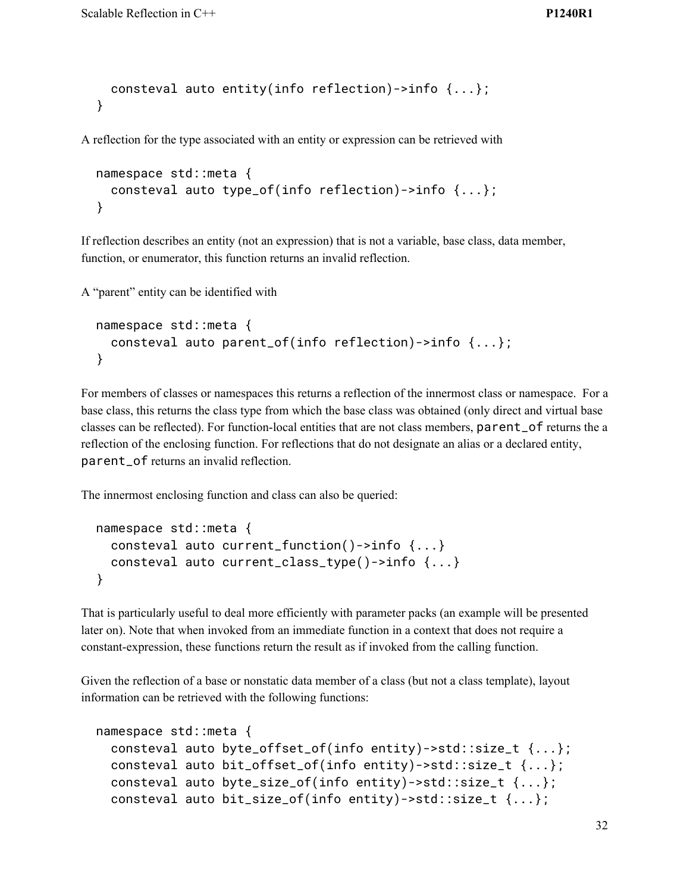```
consteval auto entity(info reflection)->info {...};
}
```
A reflection for the type associated with an entity or expression can be retrieved with

```
namespace std::meta {
 consteval auto type_of(info reflection)->info {...};
}
```
If reflection describes an entity (not an expression) that is not a variable, base class, data member, function, or enumerator, this function returns an invalid reflection.

A "parent" entity can be identified with

```
namespace std::meta {
  consteval auto parent_of(info reflection)->info {...};
}
```
For members of classes or namespaces this returns a reflection of the innermost class or namespace. For a base class, this returns the class type from which the base class was obtained (only direct and virtual base classes can be reflected). For function-local entities that are not class members, parent\_of returns the a reflection of the enclosing function. For reflections that do not designate an alias or a declared entity, parent\_of returns an invalid reflection.

The innermost enclosing function and class can also be queried:

```
namespace std::meta {
  consteval auto current_function()->info {...}
  consteval auto current_class_type()->info {...}
}
```
That is particularly useful to deal more efficiently with parameter packs (an example will be presented later on). Note that when invoked from an immediate function in a context that does not require a constant-expression, these functions return the result as if invoked from the calling function.

Given the reflection of a base or nonstatic data member of a class (but not a class template), layout information can be retrieved with the following functions:

```
namespace std::meta {
 consteval auto byte_offset_of(info entity)->std::size_t {...};
 consteval auto bit_offset_of(info entity)->std::size_t {...};
 consteval auto byte_size_of(info entity)->std::size_t {...};
 consteval auto bit_size_of(info entity)->std::size_t {...};
```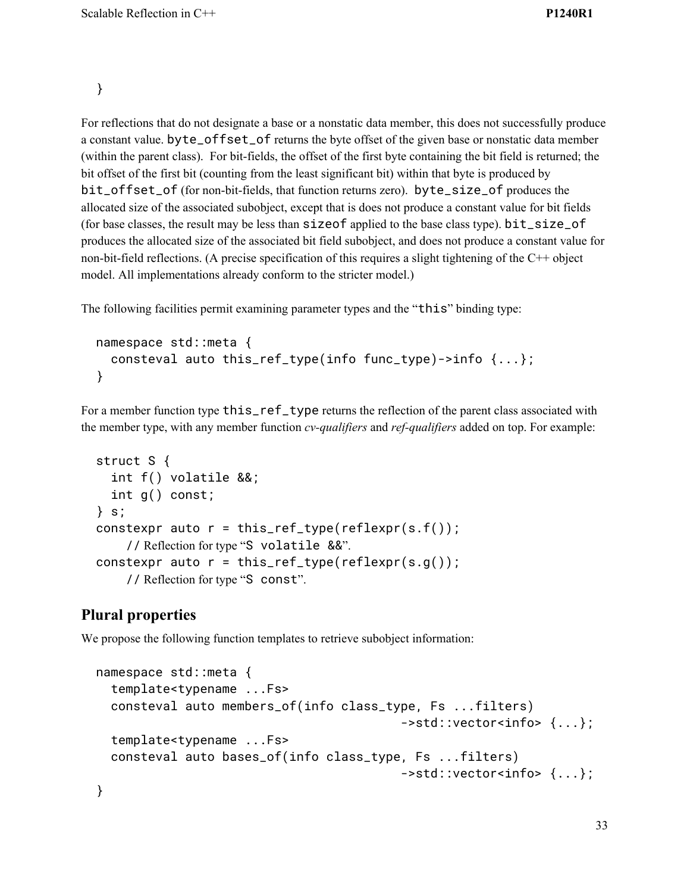}

For reflections that do not designate a base or a nonstatic data member, this does not successfully produce a constant value. byte\_offset\_of returns the byte offset of the given base or nonstatic data member (within the parent class). For bit-fields, the offset of the first byte containing the bit field is returned; the bit offset of the first bit (counting from the least significant bit) within that byte is produced by bit\_offset\_of (for non-bit-fields, that function returns zero). byte\_size\_of produces the allocated size of the associated subobject, except that is does not produce a constant value for bit fields (for base classes, the result may be less than sizeof applied to the base class type). bit\_size\_of produces the allocated size of the associated bit field subobject, and does not produce a constant value for non-bit-field reflections. (A precise specification of this requires a slight tightening of the C++ object model. All implementations already conform to the stricter model.)

The following facilities permit examining parameter types and the "this" binding type:

```
namespace std::meta {
  consteval auto this_ref_type(info func_type)->info {...};
}
```
For a member function type this\_ref\_type returns the reflection of the parent class associated with the member type, with any member function *cv-qualifiers* and *ref-qualifiers* added on top. For example:

```
struct S {
  int f() volatile &&;
  int g() const;
} s;
constexpr auto r = this_ref_type(reflexpr(s.f());
    // Reflection for type "S volatile &&".
constexpr auto r = this_ref_type(reflexpr(s.g());
    // Reflection for type "S const".
```
### **Plural properties**

We propose the following function templates to retrieve subobject information:

```
namespace std::meta {
 template<typename ...Fs>
 consteval auto members_of(info class_type, Fs ...filters)
                                         ->std::vector<info> {...};
 template<typename ...Fs>
 consteval auto bases_of(info class_type, Fs ...filters)
                                         ->std::vector<info> {...};
}
```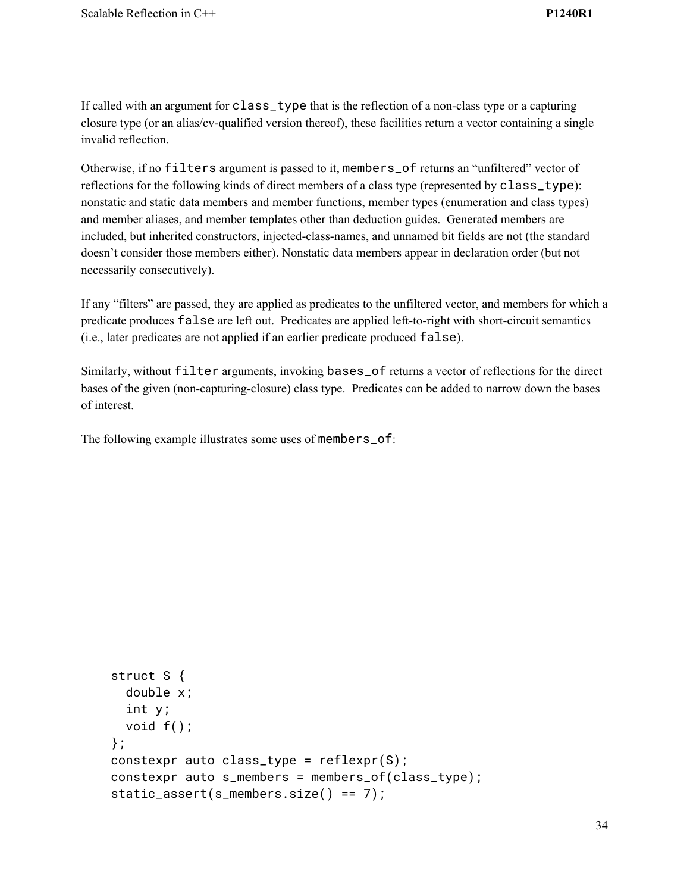If called with an argument for class\_type that is the reflection of a non-class type or a capturing closure type (or an alias/cv-qualified version thereof), these facilities return a vector containing a single invalid reflection.

Otherwise, if no filters argument is passed to it, members\_of returns an "unfiltered" vector of reflections for the following kinds of direct members of a class type (represented by class\_type): nonstatic and static data members and member functions, member types (enumeration and class types) and member aliases, and member templates other than deduction guides. Generated members are included, but inherited constructors, injected-class-names, and unnamed bit fields are not (the standard doesn't consider those members either). Nonstatic data members appear in declaration order (but not necessarily consecutively).

If any "filters" are passed, they are applied as predicates to the unfiltered vector, and members for which a predicate produces false are left out. Predicates are applied left-to-right with short-circuit semantics (i.e., later predicates are not applied if an earlier predicate produced false).

Similarly, without filter arguments, invoking bases\_of returns a vector of reflections for the direct bases of the given (non-capturing-closure) class type. Predicates can be added to narrow down the bases of interest.

The following example illustrates some uses of members\_of:

```
struct S {
  double x;
  int y;
 void f();
};
constexpr auto class_type = reflexpr(S);
constexpr auto s_members = members_of(class_type);
static_assert(s_members.size() == 7);
```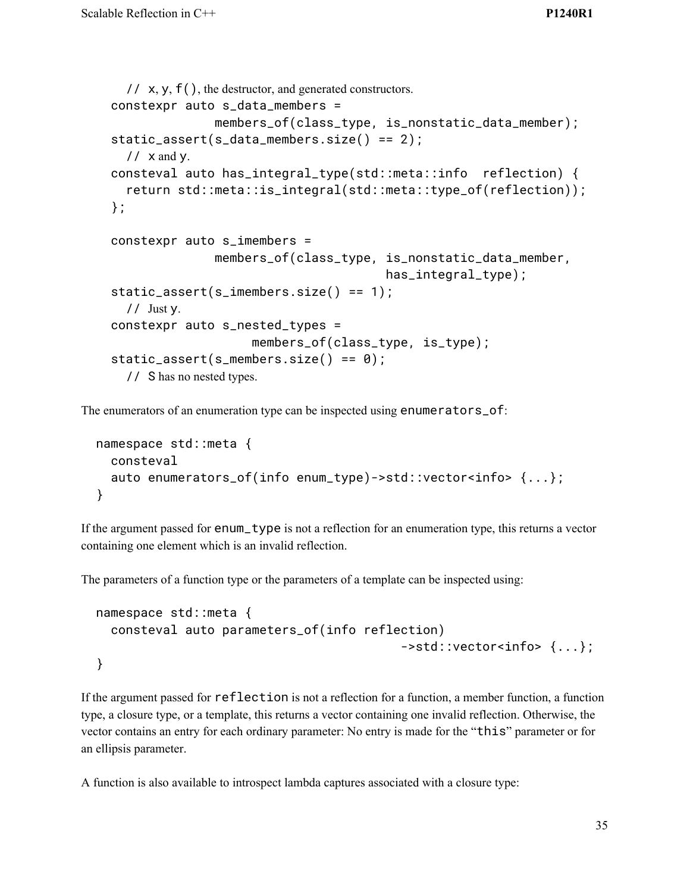```
// x, y, f(), the destructor, and generated constructors.
constexpr auto s_data_members =
              members_of(class_type, is_nonstatic_data_member);
static_assert(s_data_members.size() == 2);
  // x and y.
consteval auto has_integral_type(std::meta::info reflection) {
  return std::meta::is_integral(std::meta::type_of(reflection));
};
constexpr auto s_imembers =
              members_of(class_type, is_nonstatic_data_member,
                                       has_integral_type);
static_assert(s_imembers.size() == 1);
  // Just y.constexpr auto s_nested_types =
                    members_of(class_type, is_type);
static_assert(s\_members.size() == 0);// S has no nested types.
```
The enumerators of an enumeration type can be inspected using enumerators\_of:

```
namespace std::meta {
  consteval
  auto enumerators_of(info enum_type)->std::vector<info>{...};
}
```
If the argument passed for enum\_type is not a reflection for an enumeration type, this returns a vector containing one element which is an invalid reflection.

The parameters of a function type or the parameters of a template can be inspected using:

```
namespace std::meta {
 consteval auto parameters_of(info reflection)
                                          ->std::vector<info> {...};
}
```
If the argument passed for reflection is not a reflection for a function, a member function, a function type, a closure type, or a template, this returns a vector containing one invalid reflection. Otherwise, the vector contains an entry for each ordinary parameter: No entry is made for the "this" parameter or for an ellipsis parameter.

A function is also available to introspect lambda captures associated with a closure type: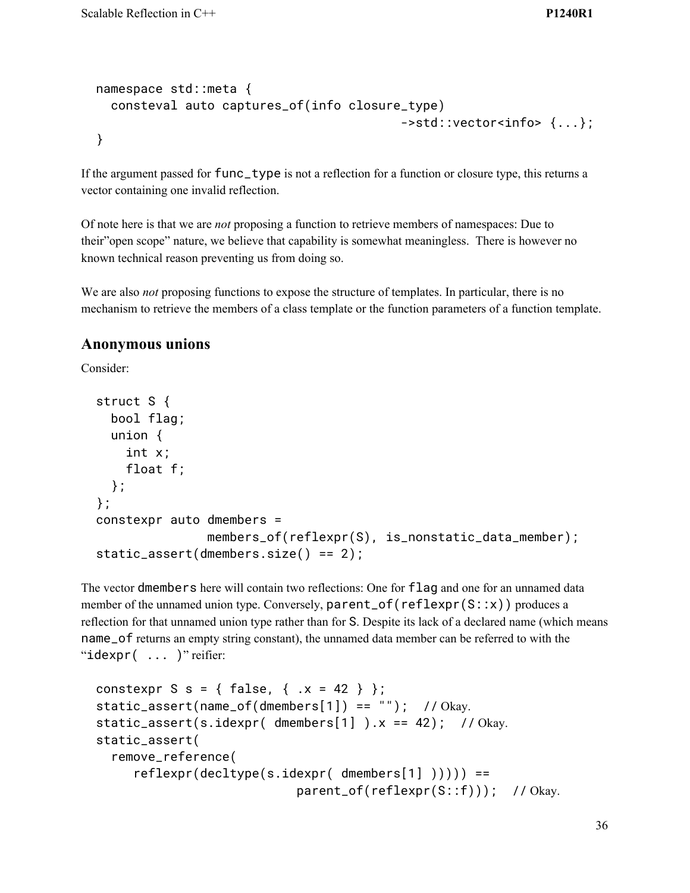```
namespace std::meta {
 consteval auto captures_of(info closure_type)
                                          ->std::vector<info> {...};
}
```
If the argument passed for func\_type is not a reflection for a function or closure type, this returns a vector containing one invalid reflection.

Of note here is that we are *not* proposing a function to retrieve members of namespaces: Due to their"open scope" nature, we believe that capability is somewhat meaningless. There is however no known technical reason preventing us from doing so.

We are also *not* proposing functions to expose the structure of templates. In particular, there is no mechanism to retrieve the members of a class template or the function parameters of a function template.

#### **Anonymous unions**

Consider:

```
struct S {
  bool flag;
  union {
    int x;
    float f;
 };
};
constexpr auto dmembers =
               members_of(reflexpr(S), is_nonstatic_data_member);
static_assert(dmembers.size() == 2);
```
The vector dmembers here will contain two reflections: One for flag and one for an unnamed data member of the unnamed union type. Conversely, parent\_of(reflexpr(S::x)) produces a reflection for that unnamed union type rather than for S. Despite its lack of a declared name (which means name\_of returns an empty string constant), the unnamed data member can be referred to with the " $\text{idexpr}(\ldots)$ " reifier:

```
constexpr S s = { false, { .x = 42 } };
static_assert(name_of(dmembers[1]) == ""); // Okay.
static_assert(s.idexpr( dmembers[1] ).x = 42); // Okay.
static_assert(
  remove_reference(
     reflexpr(decltype(s.idexpr('dmembers[1])))) ==parent_of(reflexpr(S::f))); // Okay.
```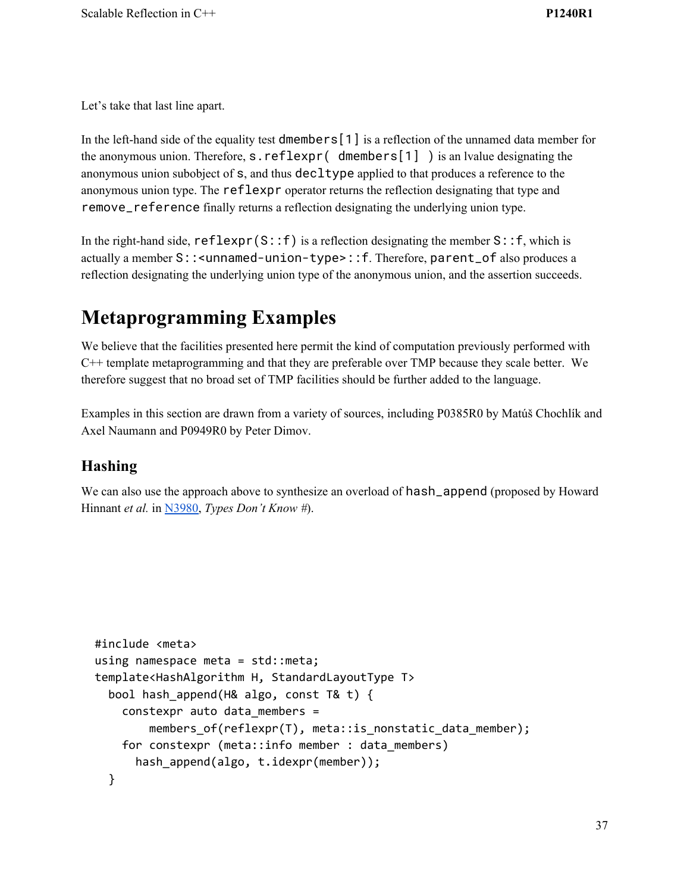Let's take that last line apart.

In the left-hand side of the equality test dmembers [1] is a reflection of the unnamed data member for the anonymous union. Therefore, s.reflexpr( dmembers[1] ) is an lvalue designating the anonymous union subobject of s, and thus decltype applied to that produces a reference to the anonymous union type. The reflexpr operator returns the reflection designating that type and remove\_reference finally returns a reflection designating the underlying union type.

In the right-hand side,  $reflexpr(S::f)$  is a reflection designating the member  $S::f$ , which is actually a member S::<unnamed-union-type>::f. Therefore, parent\_of also produces a reflection designating the underlying union type of the anonymous union, and the assertion succeeds.

# **Metaprogramming Examples**

We believe that the facilities presented here permit the kind of computation previously performed with C++ template metaprogramming and that they are preferable over TMP because they scale better. We therefore suggest that no broad set of TMP facilities should be further added to the language.

Examples in this section are drawn from a variety of sources, including P0385R0 by Matúš Chochlík and Axel Naumann and P0949R0 by Peter Dimov.

# **Hashing**

We can also use the approach above to synthesize an overload of hash\_append (proposed by Howard Hinnant *et al.* in [N3980](http://www.open-std.org/jtc1/sc22/wg21/docs/papers/2014/n3980.html), *Types Don't Know #*).

```
#include <meta>
using namespace meta = std::meta;
template<HashAlgorithm H, StandardLayoutType T>
  bool hash_append(H& algo, const T& t) {
    constexpr auto data_members =
        members_of(reflexpr(T), meta::is_nonstatic_data_member);
    for constexpr (meta::info member : data_members)
      hash_append(algo, t.idexpr(member));
  }
```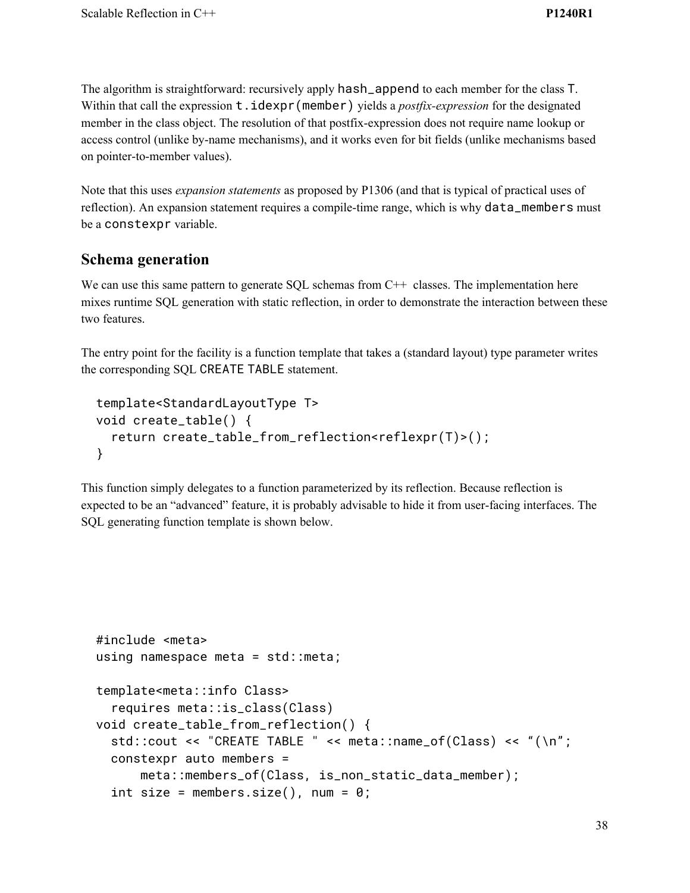The algorithm is straightforward: recursively apply hash\_append to each member for the class T. Within that call the expression  $t$ .  $idexpr(member)$  yields a *postfix-expression* for the designated member in the class object. The resolution of that postfix-expression does not require name lookup or access control (unlike by-name mechanisms), and it works even for bit fields (unlike mechanisms based on pointer-to-member values).

Note that this uses *expansion statements* as proposed by P1306 (and that is typical of practical uses of reflection). An expansion statement requires a compile-time range, which is why data\_members must be a constexpr variable.

### **Schema generation**

We can use this same pattern to generate SQL schemas from C++ classes. The implementation here mixes runtime SQL generation with static reflection, in order to demonstrate the interaction between these two features.

The entry point for the facility is a function template that takes a (standard layout) type parameter writes the corresponding SQL CREATE TABLE statement.

```
template<StandardLayoutType T>
void create_table() {
  return create_table_from_reflection<reflexpr(T)>();
}
```
This function simply delegates to a function parameterized by its reflection. Because reflection is expected to be an "advanced" feature, it is probably advisable to hide it from user-facing interfaces. The SQL generating function template is shown below.

```
#include <meta>
using namespace meta = std:: meta;
template<meta::info Class>
  requires meta::is_class(Class)
void create_table_from_reflection() {
 std::cout << "CREATE TABLE " << meta::name_of(Class) << "(\n";
 constexpr auto members =
      meta::members_of(Class, is_non_static_data_member);
 int size = members.size(), num = 0;
```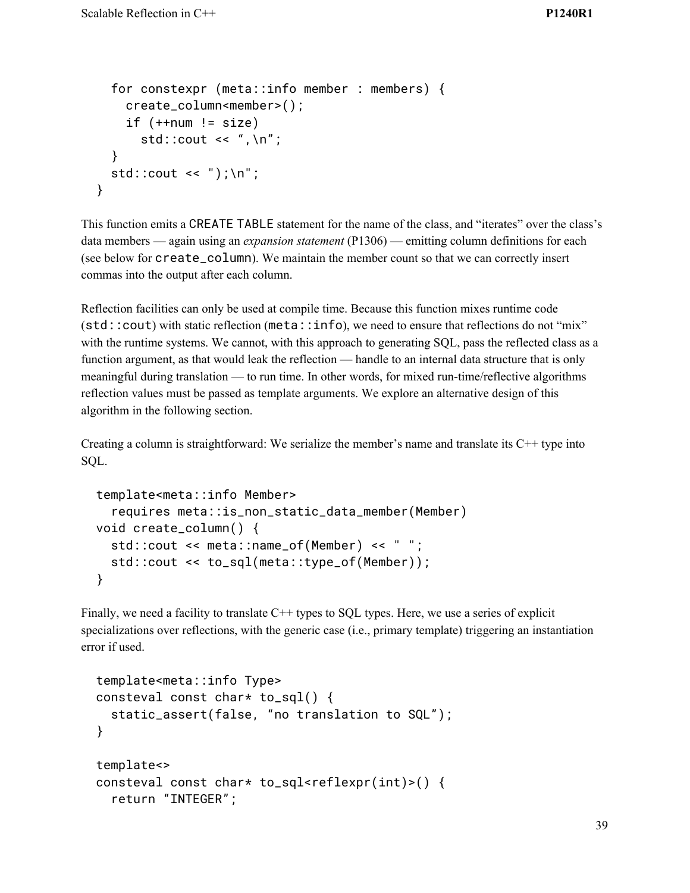```
for constexpr (meta::info member : members) {
    create_column<member>();
    if (++num != size)std::cout << ", \n";
 }
 std::cout << ");\n";
}
```
This function emits a CREATE TABLE statement for the name of the class, and "iterates" over the class's data members — again using an *expansion statement* (P1306) — emitting column definitions for each (see below for create\_column). We maintain the member count so that we can correctly insert commas into the output after each column.

Reflection facilities can only be used at compile time. Because this function mixes runtime code (std::cout) with static reflection (meta::info), we need to ensure that reflections do not "mix" with the runtime systems. We cannot, with this approach to generating SQL, pass the reflected class as a function argument, as that would leak the reflection — handle to an internal data structure that is only meaningful during translation — to run time. In other words, for mixed run-time/reflective algorithms reflection values must be passed as template arguments. We explore an alternative design of this algorithm in the following section.

Creating a column is straightforward: We serialize the member's name and translate its  $C++$  type into SQL.

```
template<meta::info Member>
  requires meta::is_non_static_data_member(Member)
void create_column() {
 std::cout << meta::name_of(Member) << " ";
 std::cout << to_sql(meta::type_of(Member));
}
```
Finally, we need a facility to translate C++ types to SQL types. Here, we use a series of explicit specializations over reflections, with the generic case (i.e., primary template) triggering an instantiation error if used.

```
template<meta::info Type>
consteval const char* to_sql() {
 static_assert(false, "no translation to SQL");
}
template<>
consteval const char* to_sql<reflexpr(int)>() {
  return "INTEGER";
```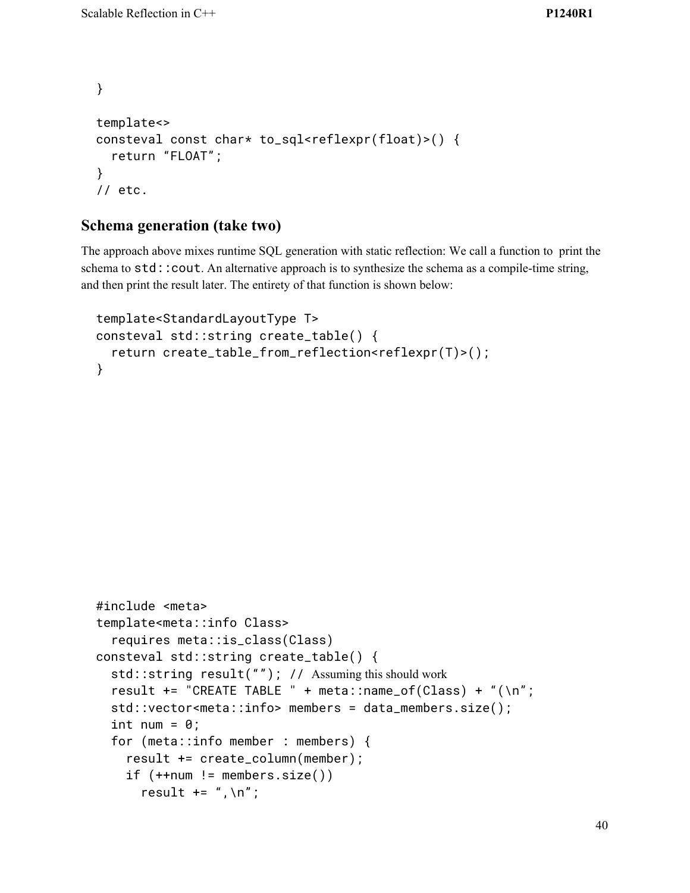```
}
template<>
consteval const char* to_sql<reflexpr(float)>() {
  return "FLOAT";
}
// etc.
```
### **Schema generation (take two)**

The approach above mixes runtime SQL generation with static reflection: We call a function to print the schema to std:: cout. An alternative approach is to synthesize the schema as a compile-time string, and then print the result later. The entirety of that function is shown below:

```
template<StandardLayoutType T>
consteval std::string create_table() {
  return create_table_from_reflection<reflexpr(T)>();
}
```

```
#include <meta>
template<meta::info Class>
  requires meta::is_class(Class)
consteval std::string create_table() {
  std::string result(""); // Assuming this should work
  result += "CREATE TABLE " + meta::name_of(Class) + "(\n";
  std::vector<meta::info> members = data_members.size();
  int num = 0;
  for (meta::info member : members) {
    result += create_column(member);
    if (++num != members.size())result += ", \n";
```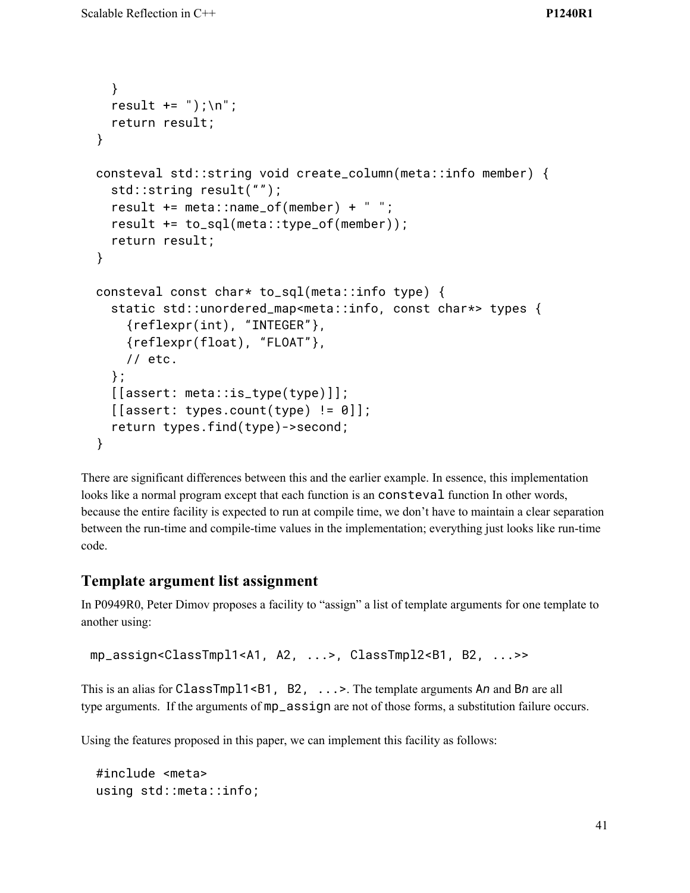```
}
  result += ");\n";
  return result;
}
consteval std::string void create_column(meta::info member) {
  std::string result("");
  result += meta::name_of(member) + " ";
  result += to_sql(meta::type_of(member));
  return result;
}
consteval const char* to_sql(meta::info type) {
  static std::unordered_map<meta::info, const char*> types {
    {reflexpr(int), "INTEGER"},
    {reflexpr(float), "FLOAT"},
    // etc.
  };
  [[assert: meta::is_type(type)]];
  \lceil[assert: types.count(type) != 0]];
  return types.find(type)->second;
}
```
There are significant differences between this and the earlier example. In essence, this implementation looks like a normal program except that each function is an consteval function In other words, because the entire facility is expected to run at compile time, we don't have to maintain a clear separation between the run-time and compile-time values in the implementation; everything just looks like run-time code.

### **Template argument list assignment**

In P0949R0, Peter Dimov proposes a facility to "assign" a list of template arguments for one template to another using:

```
mp_assign<ClassTmpl1<A1, A2, ...>, ClassTmpl2<B1, B2, ...>>
```
This is an alias for ClassTmpl1<B1, B2, ...>. The template arguments A*n* and B*n* are all type arguments. If the arguments of mp\_assign are not of those forms, a substitution failure occurs.

Using the features proposed in this paper, we can implement this facility as follows:

```
#include <meta>
using std::meta::info;
```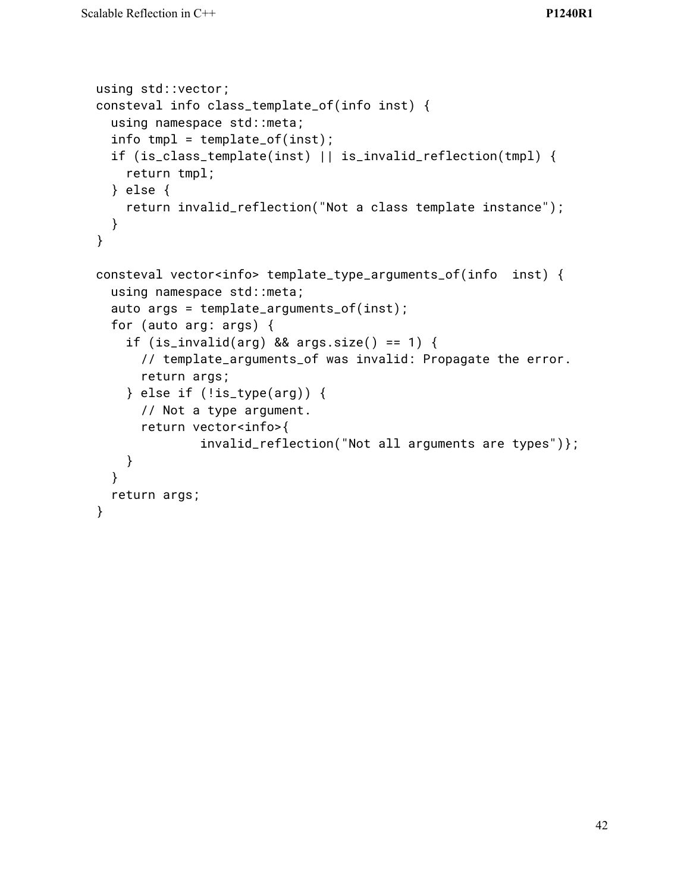```
using std::vector;
consteval info class_template_of(info inst) {
  using namespace std::meta;
  info tmpl = template_of(inst);
  if (is_class_template(inst) || is_invalid_reflection(tmpl) {
    return tmpl;
  } else {
    return invalid_reflection("Not a class template instance");
  }
}
consteval vector<info> template_type_arguments_of(info inst) {
  using namespace std::meta;
  auto args = template_arguments_of(inst);
  for (auto arg: args) {
    if (is_invalid(arg) && args.size() == 1) {
      // template_arguments_of was invalid: Propagate the error.
      return args;
    \} else if (!is_type(arg)) {
      // Not a type argument.
      return vector<info>{
              invalid_reflection("Not all arguments are types")};
    }
  }
  return args;
}
```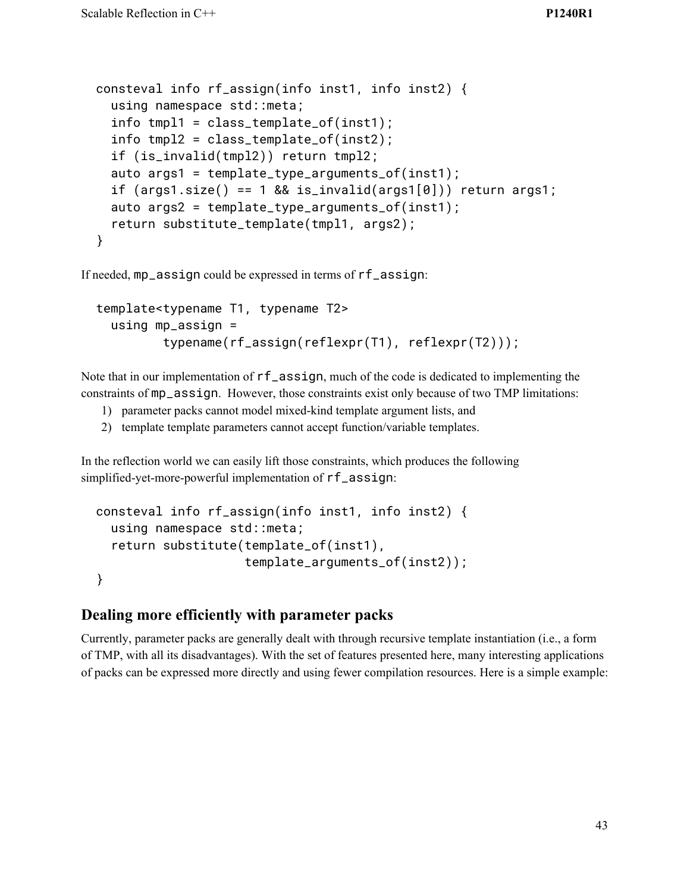```
consteval info rf_assign(info inst1, info inst2) {
 using namespace std::meta;
 info tmpl1 = class_template_of(inst1);
 info tmpl2 = class_template_of(inst2);
 if (is_invalid(tmpl2)) return tmpl2;
 auto args1 = template_type_arguments_of(inst1);
 if (args1.size() == 1 & % is_invalid(args1[0])) return args1;
 auto args2 = template_type_arguments_of(inst1);
  return substitute_template(tmpl1, args2);
}
```
If needed, mp\_assign could be expressed in terms of rf\_assign:

```
template<typename T1, typename T2>
 using mp_assign =
         typename(rf_assign(reflexpr(T1), reflexpr(T2)));
```
Note that in our implementation of rf\_assign, much of the code is dedicated to implementing the constraints of mp\_assign. However, those constraints exist only because of two TMP limitations:

- 1) parameter packs cannot model mixed-kind template argument lists, and
- 2) template template parameters cannot accept function/variable templates.

In the reflection world we can easily lift those constraints, which produces the following simplified-yet-more-powerful implementation of rf\_assign:

```
consteval info rf_assign(info inst1, info inst2) {
 using namespace std::meta;
  return substitute(template_of(inst1),
                    template_arguments_of(inst2));
}
```
### **Dealing more efficiently with parameter packs**

Currently, parameter packs are generally dealt with through recursive template instantiation (i.e., a form of TMP, with all its disadvantages). With the set of features presented here, many interesting applications of packs can be expressed more directly and using fewer compilation resources. Here is a simple example: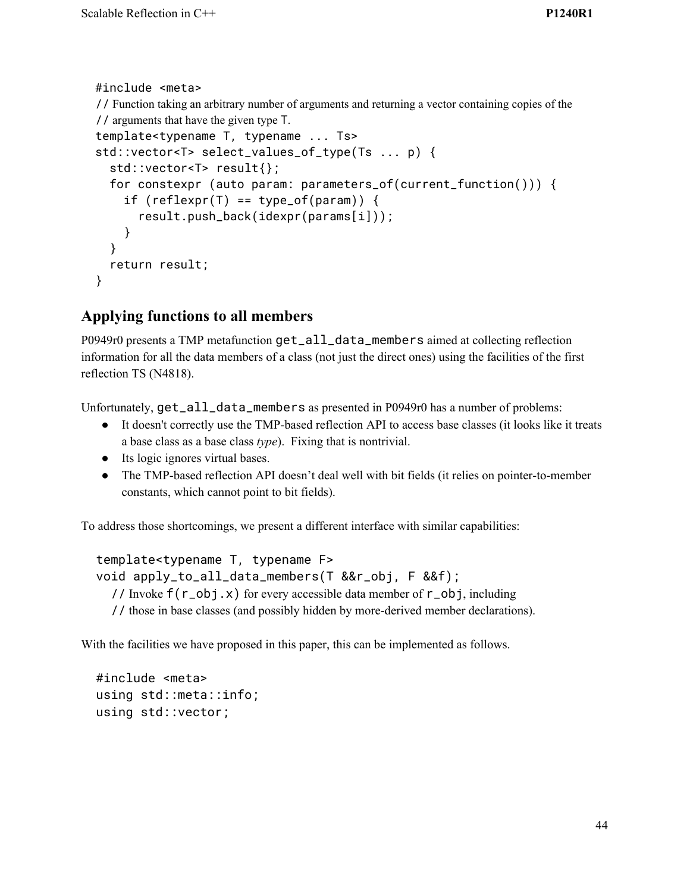```
 #include <meta>
 // Function taking an arbitrary number of arguments and returning a vector containing copies of the
 // arguments that have the given type T.
 template<typename T, typename ... Ts>
 std::vector<T> select_values_of_type(Ts ... p) {
   std::vector<T> result{};
   for constexpr (auto param: parameters_of(current_function())) {
    if (reflexpr(T) == type_of(param)) {
        result.push_back(idexpr(params[i]));
     }
   }
   return result;
 }
```
# **Applying functions to all members**

P0949r0 presents a TMP metafunction get\_all\_data\_members aimed at collecting reflection information for all the data members of a class (not just the direct ones) using the facilities of the first reflection TS (N4818).

Unfortunately, get\_all\_data\_members as presented in P0949r0 has a number of problems:

- It doesn't correctly use the TMP-based reflection API to access base classes (it looks like it treats a base class as a base class *type*). Fixing that is nontrivial.
- Its logic ignores virtual bases.
- The TMP-based reflection API doesn't deal well with bit fields (it relies on pointer-to-member constants, which cannot point to bit fields).

To address those shortcomings, we present a different interface with similar capabilities:

```
template<typename T, typename F>
void apply_to_all_data_members(T &&r_obj, F &&f);
  // Invoke f(r_obj.x) for every accessible data member of r_obj, including
  // those in base classes (and possibly hidden by more-derived member declarations).
```
With the facilities we have proposed in this paper, this can be implemented as follows.

```
#include <meta>
using std::meta::info;
using std::vector;
```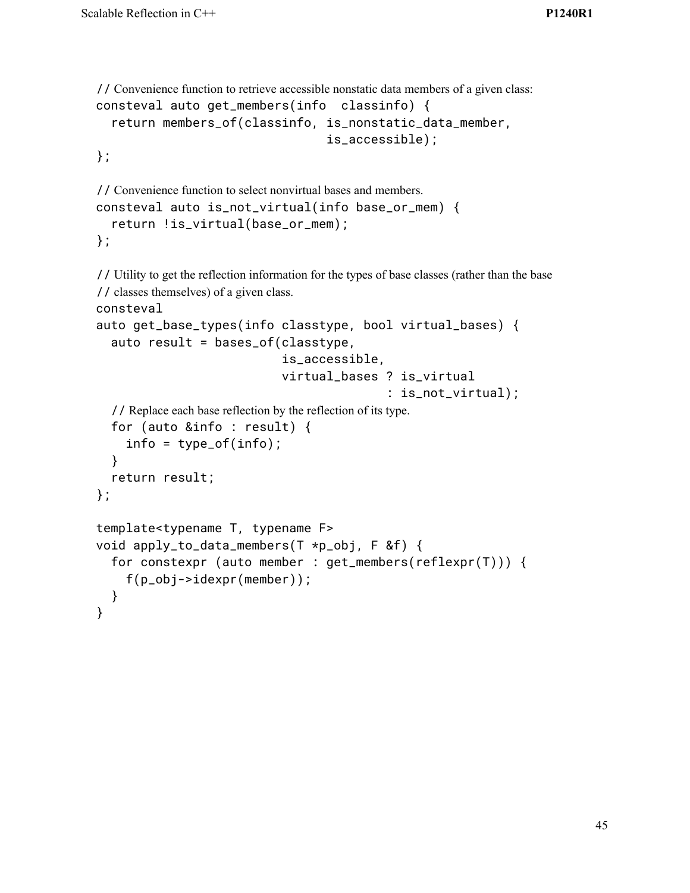```
// Convenience function to retrieve accessible nonstatic data members of a given class:
consteval auto get_members(info classinfo) {
  return members_of(classinfo, is_nonstatic_data_member,
                                    is_accessible);
```
};

```
// Convenience function to select nonvirtual bases and members.
consteval auto is_not_virtual(info base_or_mem) {
  return !is_virtual(base_or_mem);
};
```

```
// Utility to get the reflection information for the types of base classes (rather than the base
// classes themselves) of a given class.
consteval
auto get_base_types(info classtype, bool virtual_bases) {
  auto result = bases_of(classtype,
                             is_accessible,
                            virtual_bases ? is_virtual
                                            : is_not_virtual);
  // Replace each base reflection by the reflection of its type.
  for (auto &info : result) {
    info = type_of(info);
  }
  return result;
};
template<typename T, typename F>
void apply_to_data_members(T *p_obj, F &f) {
  for constexpr (auto member : get_members(reflexpr(T))) {
    f(p_obj->idexpr(member));
  }
}
```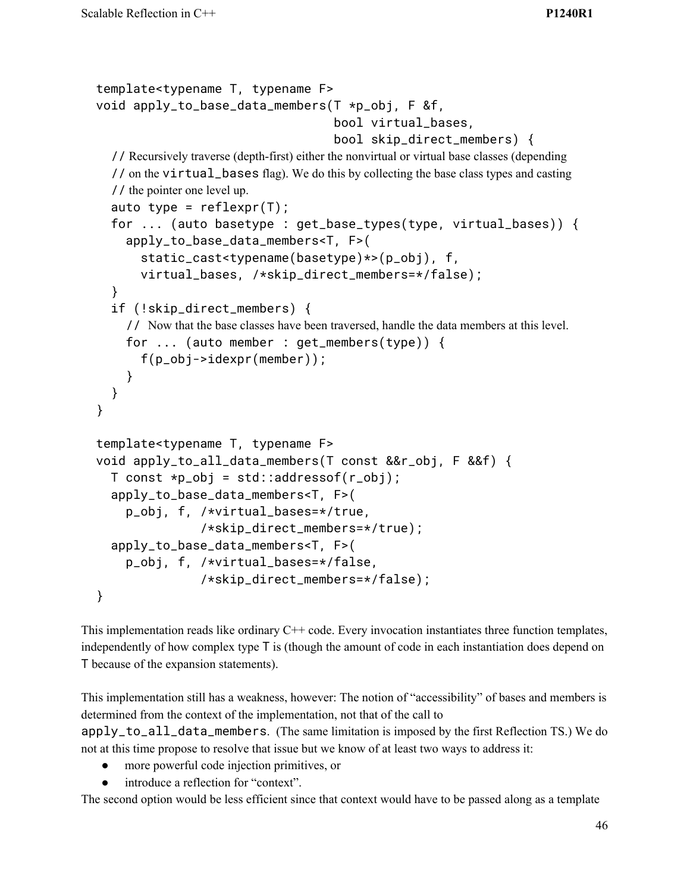```
template<typename T, typename F>
void apply_to_base_data_members(T *p_obj, F &f,
                                   bool virtual_bases,
                                   bool skip_direct_members) {
  // Recursively traverse (depth-first) either the nonvirtual or virtual base classes (depending
  // on the virtual_bases flag). We do this by collecting the base class types and casting
  // the pointer one level up.
  auto type = reflexpr(T);
  for ... (auto basetype : get_base_types(type, virtual_bases)) {
    apply_to_base_data_members<T, F>(
      static_cast<typename(basetype)*>(p_obj), f,
      virtual_bases, /*skip_direct_members=*/false);
  }
  if (!skip_direct_members) {
    // Now that the base classes have been traversed, handle the data members at this level.
    for ... (auto member : get_members(type)) {
      f(p_obj->idexpr(member));
    }
 }
}
template<typename T, typename F>
void apply_to_all_data_members(T const &&r_obj, F &&f) {
  T const *p_obj = std::addressof(r_obj);apply_to_base_data_members<T, F>(
    p_obj, f, /*virtual_bases=*/true,
               /*skip_direct_members=*/true);
  apply_to_base_data_members<T, F>(
    p_obj, f, /*virtual_bases=*/false,
               /*skip_direct_members=*/false);
}
```
This implementation reads like ordinary  $C++$  code. Every invocation instantiates three function templates, independently of how complex type T is (though the amount of code in each instantiation does depend on T because of the expansion statements).

This implementation still has a weakness, however: The notion of "accessibility" of bases and members is determined from the context of the implementation, not that of the call to apply\_to\_all\_data\_members. (The same limitation is imposed by the first Reflection TS.) We do not at this time propose to resolve that issue but we know of at least two ways to address it:

- more powerful code injection primitives, or
- introduce a reflection for "context".

The second option would be less efficient since that context would have to be passed along as a template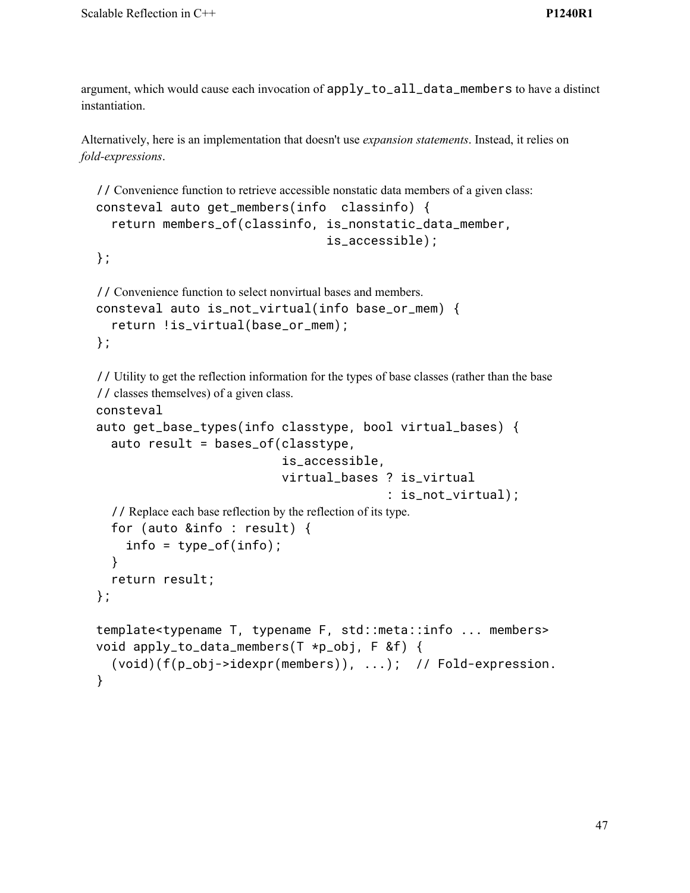argument, which would cause each invocation of apply\_to\_all\_data\_members to have a distinct instantiation.

Alternatively, here is an implementation that doesn't use *expansion statements*. Instead, it relies on *fold-expressions*.

```
// Convenience function to retrieve accessible nonstatic data members of a given class:
consteval auto get_members(info classinfo) {
  return members_of(classinfo, is_nonstatic_data_member,
                                    is_accessible);
```

```
};
```

```
// Convenience function to select nonvirtual bases and members.
consteval auto is_not_virtual(info base_or_mem) {
  return !is_virtual(base_or_mem);
};
```
// Utility to get the reflection information for the types of base classes (rather than the base // classes themselves) of a given class.

consteval

```
auto get_base_types(info classtype, bool virtual_bases) {
  auto result = bases_of(classtype,
                          is_accessible,
                          virtual_bases ? is_virtual
                                         : is_not_virtual);
  // Replace each base reflection by the reflection of its type.
  for (auto &info : result) {
    info = type_of(info);
  }
  return result;
};
template<typename T, typename F, std::meta::info ... members>
void apply_to_data_members(T *p_obj, F &f) {
  (void)(f(p_obj->idexpr(members)), ...); // Fold-expression.
}
```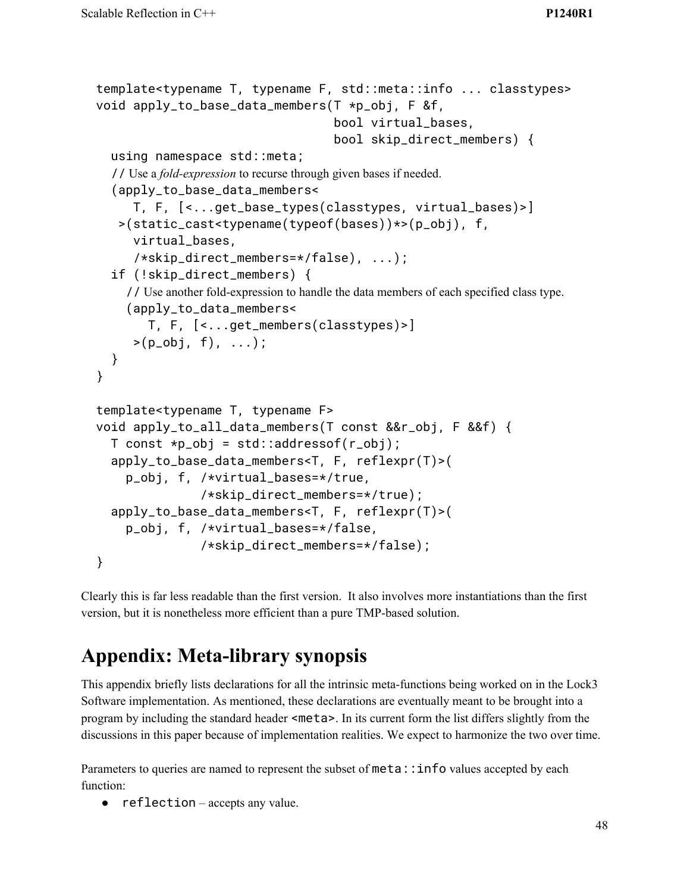```
template<typename T, typename F, std::meta::info ... classtypes>
void apply_to_base_data_members(T *p_obj, F &f,
                                  bool virtual_bases,
                                  bool skip_direct_members) {
  using namespace std::meta;
  // Use a fold-expression to recurse through given bases if needed.
  (apply_to_base_data_members<
     T, F, [<...get_base_types(classtypes, virtual_bases)>]
   >(static_cast<typename(typeof(bases))*>(p_obj), f,
     virtual_bases,
     /*skip_direct_members=*/false), ...);
  if (!skip_direct_members) {
    // Use another fold-expression to handle the data members of each specified class type.
    (apply_to_data_members<
       T, F, [<...get_members(classtypes)>]
     >(p_0b_1, f), \ldots);
 }
}
template<typename T, typename F>
void apply_to_all_data_members(T const &&r_obj, F &&f) {
  T const *p\_obj = std::addressof(r\_obj);apply_to_base_data_members<T, F, reflexpr(T)>(
    p_obj, f, /*virtual_bases=*/true,
               /*skip_direct_members=*/true);
  apply_to_base_data_members<T, F, reflexpr(T)>(
    p_obj, f, /*virtual_bases=*/false,
               /*skip_direct_members=*/false);
}
```
Clearly this is far less readable than the first version. It also involves more instantiations than the first version, but it is nonetheless more efficient than a pure TMP-based solution.

# **Appendix: Meta-library synopsis**

This appendix briefly lists declarations for all the intrinsic meta-functions being worked on in the Lock3 Software implementation. As mentioned, these declarations are eventually meant to be brought into a program by including the standard header <meta>. In its current form the list differs slightly from the discussions in this paper because of implementation realities. We expect to harmonize the two over time.

Parameters to queries are named to represent the subset of meta::info values accepted by each function:

● reflection – accepts any value.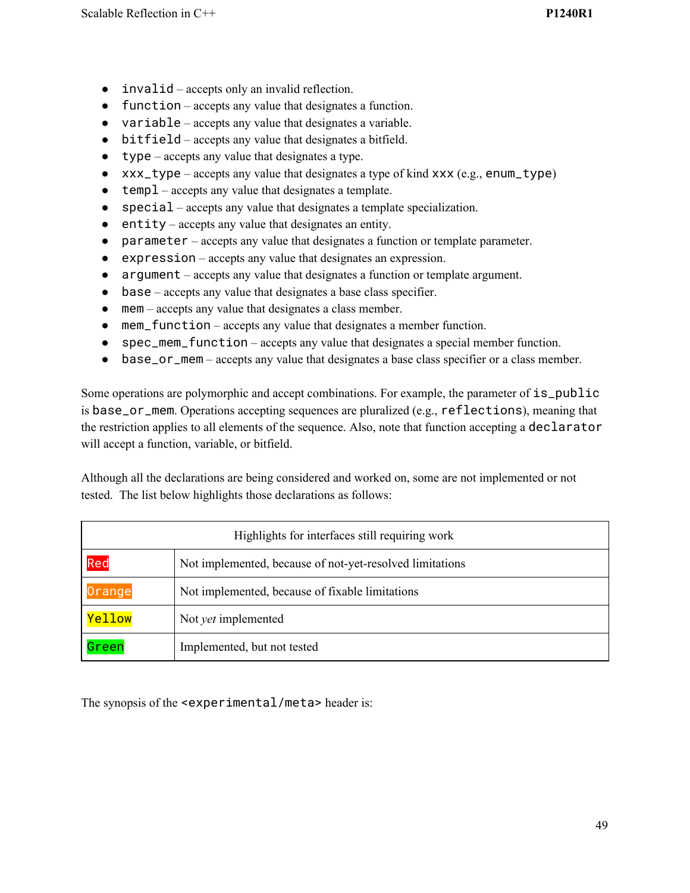- invalid accepts only an invalid reflection.
- function accepts any value that designates a function.
- variable accepts any value that designates a variable.
- bitfield accepts any value that designates a bitfield.
- $\bullet$  type accepts any value that designates a type.
- xxx\_type accepts any value that designates a type of kind xxx (e.g., enum\_type)
- temp1 accepts any value that designates a template.
- special accepts any value that designates a template specialization.
- entity accepts any value that designates an entity.
- parameter accepts any value that designates a function or template parameter.
- expression accepts any value that designates an expression.
- argument accepts any value that designates a function or template argument.
- base accepts any value that designates a base class specifier.
- mem accepts any value that designates a class member.
- mem\_function accepts any value that designates a member function.
- spec\_mem\_function accepts any value that designates a special member function.
- base\_or\_mem accepts any value that designates a base class specifier or a class member.

Some operations are polymorphic and accept combinations. For example, the parameter of  $is\_public$ is base\_or\_mem. Operations accepting sequences are pluralized (e.g., reflections), meaning that the restriction applies to all elements of the sequence. Also, note that function accepting a declarator will accept a function, variable, or bitfield.

Although all the declarations are being considered and worked on, some are not implemented or not tested. The list below highlights those declarations as follows:

| Highlights for interfaces still requiring work |                                                          |  |  |
|------------------------------------------------|----------------------------------------------------------|--|--|
| Red                                            | Not implemented, because of not-yet-resolved limitations |  |  |
| Orange                                         | Not implemented, because of fixable limitations          |  |  |
| Yellow                                         | Not <i>yet</i> implemented                               |  |  |
| Green                                          | Implemented, but not tested                              |  |  |

The synopsis of the <experimental/meta> header is: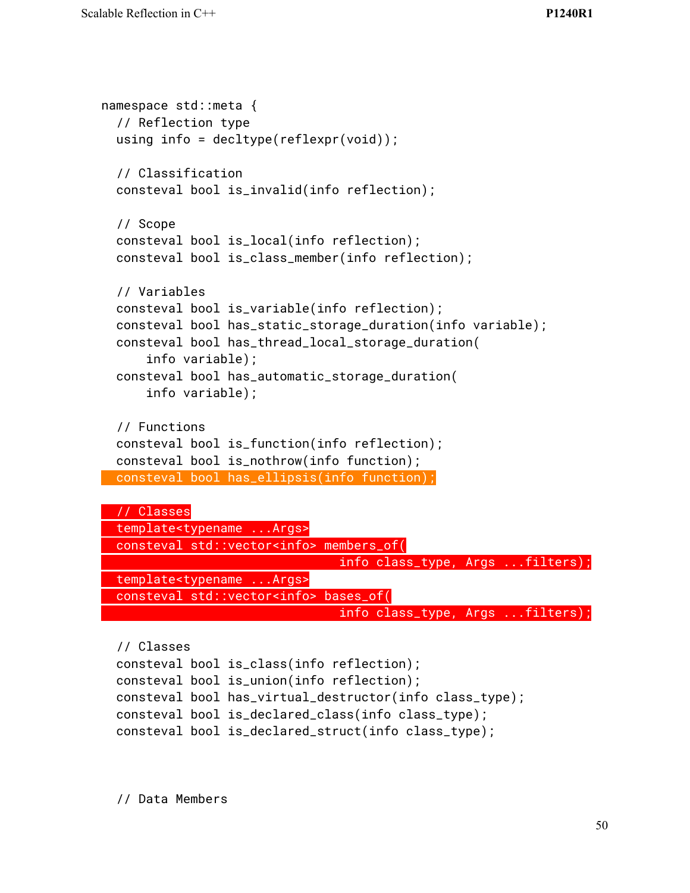```
namespace std::meta {
  // Reflection type
 using info = decltype(reflexpr(void));
  // Classification
 consteval bool is_invalid(info reflection);
 // Scope
 consteval bool is_local(info reflection);
 consteval bool is_class_member(info reflection);
 // Variables
 consteval bool is_variable(info reflection);
 consteval bool has_static_storage_duration(info variable);
 consteval bool has_thread_local_storage_duration(
      info variable);
 consteval bool has_automatic_storage_duration(
      info variable);
 // Functions
 consteval bool is_function(info reflection);
 consteval bool is_nothrow(info function);
 consteval bool has_ellipsis(info function);
 // Classes
 template<typename ...Args>
 consteval std::vector<info> members_of(
                                info class_type, Args ...filters);
 template<typename ...Args>
 consteval std::vector<info> bases_of(
```

```
info class_type, Args ...filters);
```

```
// Classes
consteval bool is_class(info reflection);
consteval bool is_union(info reflection);
consteval bool has_virtual_destructor(info class_type);
consteval bool is_declared_class(info class_type);
consteval bool is_declared_struct(info class_type);
```
// Data Members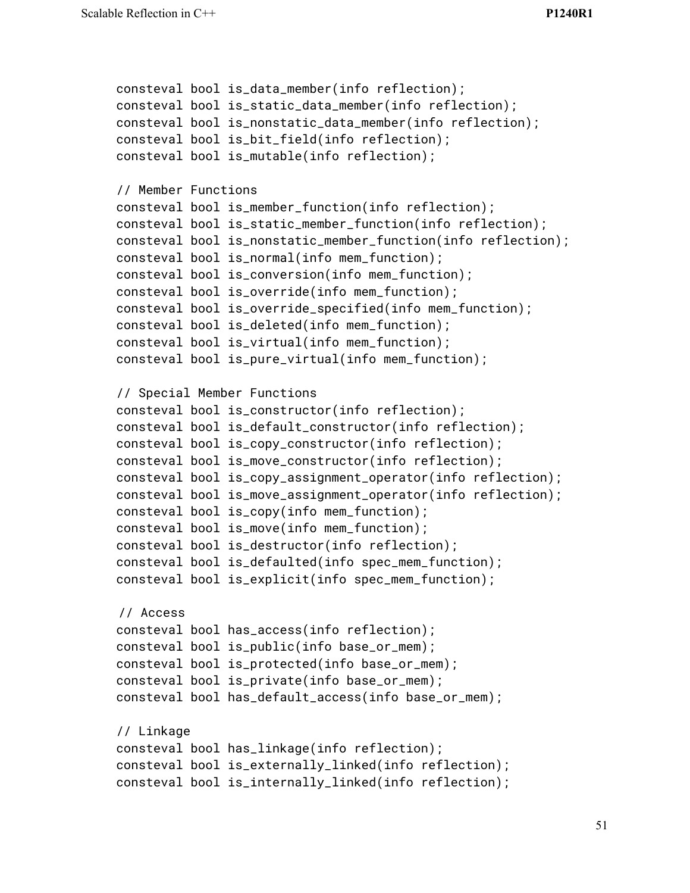```
consteval bool is_data_member(info reflection);
consteval bool is_static_data_member(info reflection);
consteval bool is_nonstatic_data_member(info reflection);
consteval bool is_bit_field(info reflection);
consteval bool is_mutable(info reflection);
// Member Functions
consteval bool is_member_function(info reflection);
consteval bool is_static_member_function(info reflection);
consteval bool is_nonstatic_member_function(info reflection);
consteval bool is_normal(info mem_function);
consteval bool is_conversion(info mem_function);
consteval bool is_override(info mem_function);
consteval bool is_override_specified(info mem_function);
consteval bool is_deleted(info mem_function);
consteval bool is_virtual(info mem_function);
consteval bool is_pure_virtual(info mem_function);
// Special Member Functions
consteval bool is_constructor(info reflection);
consteval bool is_default_constructor(info reflection);
consteval bool is_copy_constructor(info reflection);
consteval bool is_move_constructor(info reflection);
consteval bool is_copy_assignment_operator(info reflection);
consteval bool is_move_assignment_operator(info reflection);
consteval bool is_copy(info mem_function);
consteval bool is_move(info mem_function);
consteval bool is_destructor(info reflection);
consteval bool is_defaulted(info spec_mem_function);
consteval bool is_explicit(info spec_mem_function);
// Access
consteval bool has_access(info reflection);
consteval bool is_public(info base_or_mem);
consteval bool is_protected(info base_or_mem);
consteval bool is_private(info base_or_mem);
consteval bool has_default_access(info base_or_mem);
// Linkage
consteval bool has_linkage(info reflection);
consteval bool is_externally_linked(info reflection);
consteval bool is_internally_linked(info reflection);
```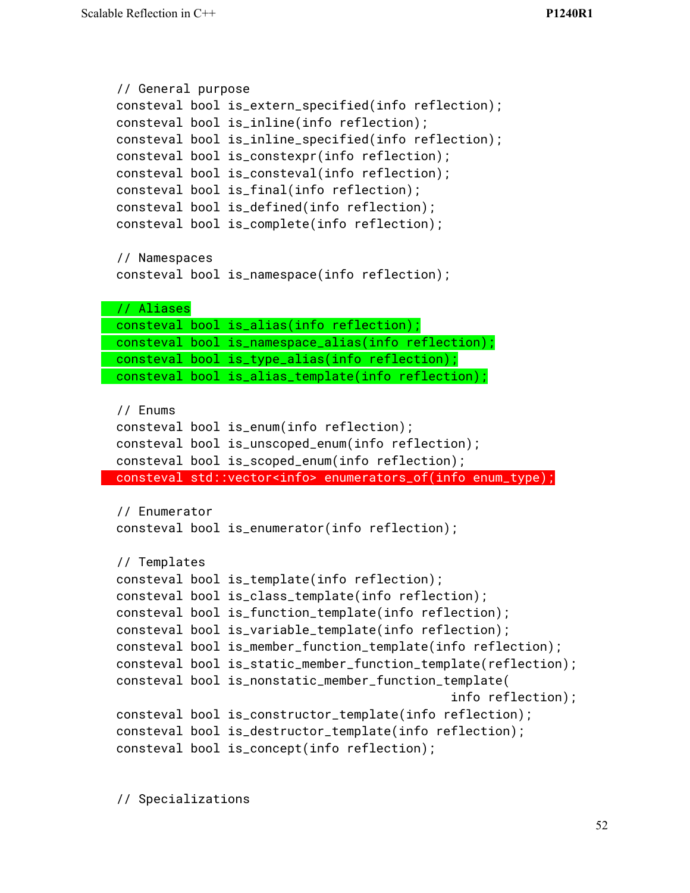```
// General purpose
consteval bool is_extern_specified(info reflection);
consteval bool is_inline(info reflection);
consteval bool is_inline_specified(info reflection);
consteval bool is_constexpr(info reflection);
consteval bool is_consteval(info reflection);
consteval bool is_final(info reflection);
consteval bool is_defined(info reflection);
consteval bool is_complete(info reflection);
// Namespaces
consteval bool is_namespace(info reflection);
// Aliases
consteval bool is_alias(info reflection);
consteval bool is_namespace_alias(info reflection);
consteval bool is_type_alias(info reflection);
consteval bool is_alias_template(info reflection);
// Enums
consteval bool is_enum(info reflection);
consteval bool is_unscoped_enum(info reflection);
consteval bool is_scoped_enum(info reflection);
consteval std::vector<info> enumerators_of(info enum_type);
// Enumerator
consteval bool is_enumerator(info reflection);
// Templates
consteval bool is_template(info reflection);
consteval bool is_class_template(info reflection);
consteval bool is_function_template(info reflection);
consteval bool is_variable_template(info reflection);
consteval bool is_member_function_template(info reflection);
consteval bool is_static_member_function_template(reflection);
consteval bool is_nonstatic_member_function_template(
                                              info reflection);
consteval bool is_constructor_template(info reflection);
consteval bool is_destructor_template(info reflection);
consteval bool is_concept(info reflection);
```
// Specializations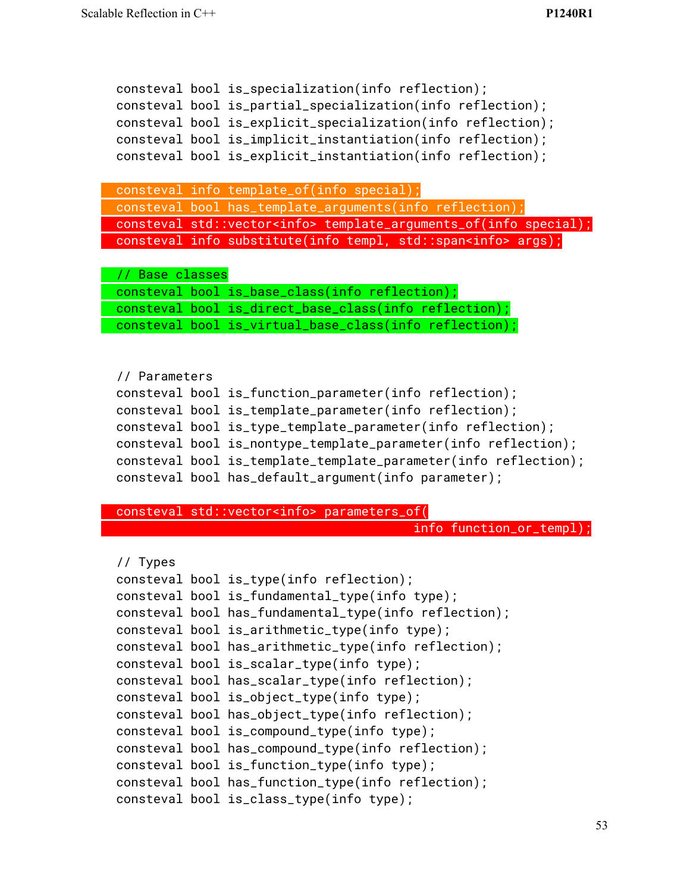```
consteval bool is_partial_specialization(info reflection);
consteval bool is_explicit_specialization(info reflection);
consteval bool is_implicit_instantiation(info reflection);
consteval bool is_explicit_instantiation(info reflection);
consteval info template_of(info special);
consteval bool has_template_arguments(info reflection);
consteval std::vector<info> template_arguments_of(info special);
consteval info substitute(info templ, std::span<info> args);
// Base classes
consteval bool is_base_class(info reflection);
consteval bool is_direct_base_class(info reflection);
consteval bool is_virtual_base_class(info reflection);
// Parameters
consteval bool is_function_parameter(info reflection);
consteval bool is_template_parameter(info reflection);
consteval bool is_type_template_parameter(info reflection);
consteval bool is_nontype_template_parameter(info reflection);
consteval bool is_template_template_parameter(info reflection);
consteval bool has_default_argument(info parameter);
```
consteval bool is\_specialization(info reflection);

```
consteval std::vector<info> parameters_of(
```
info function\_or\_templ);

```
// Types
consteval bool is_type(info reflection);
consteval bool is_fundamental_type(info type);
consteval bool has_fundamental_type(info reflection);
consteval bool is_arithmetic_type(info type);
consteval bool has_arithmetic_type(info reflection);
consteval bool is_scalar_type(info type);
consteval bool has_scalar_type(info reflection);
consteval bool is_object_type(info type);
consteval bool has_object_type(info reflection);
consteval bool is_compound_type(info type);
consteval bool has_compound_type(info reflection);
consteval bool is_function_type(info type);
consteval bool has_function_type(info reflection);
consteval bool is_class_type(info type);
```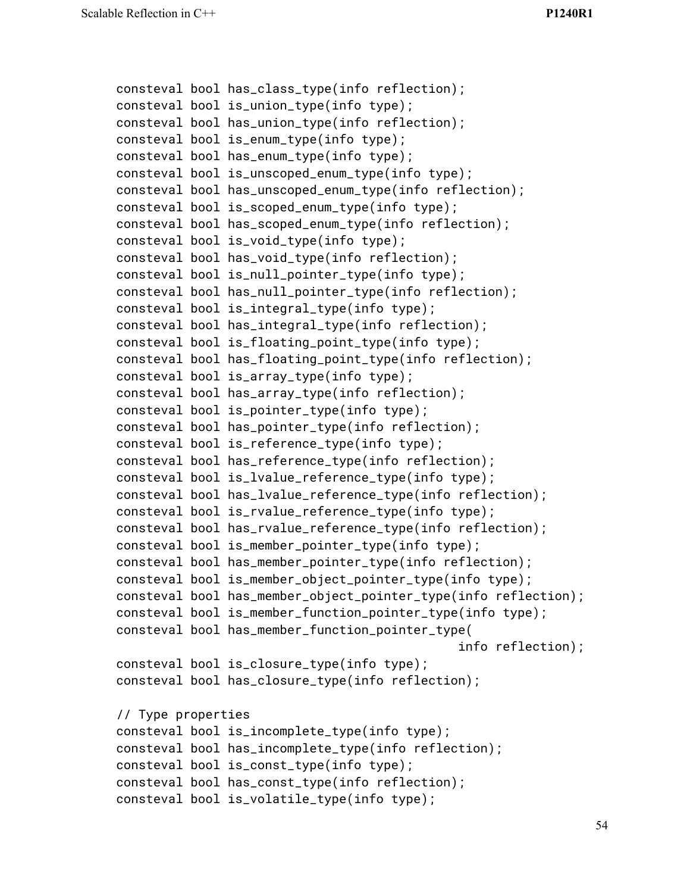```
consteval bool has_class_type(info reflection);
consteval bool is_union_type(info type);
consteval bool has_union_type(info reflection);
consteval bool is_enum_type(info type);
consteval bool has_enum_type(info type);
consteval bool is_unscoped_enum_type(info type);
consteval bool has_unscoped_enum_type(info reflection);
consteval bool is_scoped_enum_type(info type);
consteval bool has_scoped_enum_type(info reflection);
consteval bool is_void_type(info type);
consteval bool has_void_type(info reflection);
consteval bool is_null_pointer_type(info type);
consteval bool has_null_pointer_type(info reflection);
consteval bool is_integral_type(info type);
consteval bool has_integral_type(info reflection);
consteval bool is_floating_point_type(info type);
consteval bool has_floating_point_type(info reflection);
consteval bool is_array_type(info type);
consteval bool has_array_type(info reflection);
consteval bool is_pointer_type(info type);
consteval bool has_pointer_type(info reflection);
consteval bool is_reference_type(info type);
consteval bool has_reference_type(info reflection);
consteval bool is_lvalue_reference_type(info type);
consteval bool has_lvalue_reference_type(info reflection);
consteval bool is_rvalue_reference_type(info type);
consteval bool has_rvalue_reference_type(info reflection);
consteval bool is_member_pointer_type(info type);
consteval bool has_member_pointer_type(info reflection);
consteval bool is_member_object_pointer_type(info type);
consteval bool has_member_object_pointer_type(info reflection);
consteval bool is_member_function_pointer_type(info type);
consteval bool has_member_function_pointer_type(
                                              info reflection);
consteval bool is_closure_type(info type);
consteval bool has_closure_type(info reflection);
// Type properties
consteval bool is_incomplete_type(info type);
consteval bool has_incomplete_type(info reflection);
consteval bool is_const_type(info type);
consteval bool has_const_type(info reflection);
consteval bool is_volatile_type(info type);
```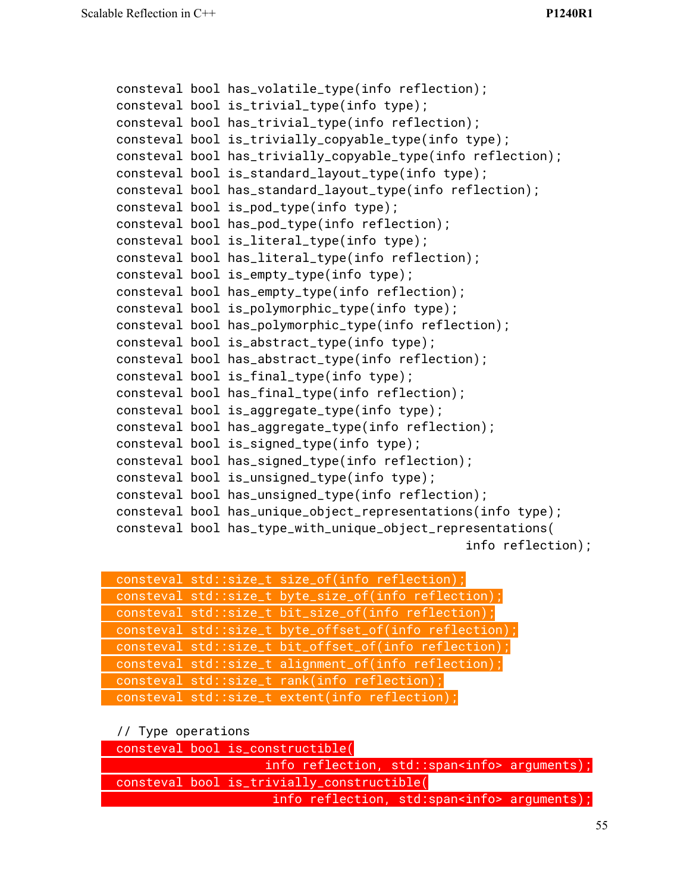```
consteval bool has_volatile_type(info reflection);
consteval bool is_trivial_type(info type);
consteval bool has_trivial_type(info reflection);
consteval bool is_trivially_copyable_type(info type);
consteval bool has_trivially_copyable_type(info reflection);
consteval bool is_standard_layout_type(info type);
consteval bool has_standard_layout_type(info reflection);
consteval bool is_pod_type(info type);
consteval bool has_pod_type(info reflection);
consteval bool is_literal_type(info type);
consteval bool has_literal_type(info reflection);
consteval bool is_empty_type(info type);
consteval bool has_empty_type(info reflection);
consteval bool is_polymorphic_type(info type);
consteval bool has_polymorphic_type(info reflection);
consteval bool is_abstract_type(info type);
consteval bool has_abstract_type(info reflection);
consteval bool is_final_type(info type);
consteval bool has_final_type(info reflection);
consteval bool is_aggregate_type(info type);
consteval bool has_aggregate_type(info reflection);
consteval bool is_signed_type(info type);
consteval bool has_signed_type(info reflection);
consteval bool is_unsigned_type(info type);
consteval bool has_unsigned_type(info reflection);
consteval bool has_unique_object_representations(info type);
consteval bool has_type_with_unique_object_representations(
                                               info reflection);
```

|  | consteval std::size_t size_of(info reflection);        |
|--|--------------------------------------------------------|
|  | consteval std::size_t byte_size_of(info reflection);   |
|  | consteval std::size_t bit_size_of(info reflection);    |
|  | consteval std::size_t byte_offset_of(info reflection); |
|  | consteval std::size_t bit_offset_of(info reflection);  |
|  | consteval std::size_t alignment_of(info reflection);   |
|  | consteval std::size_t rank(info reflection);           |
|  | consteval std::size_t extent(info reflection);         |

#### // Type operations

| consteval bool is_constructible( |  |                                            |                                                     |  |
|----------------------------------|--|--------------------------------------------|-----------------------------------------------------|--|
|                                  |  |                                            | info reflection, $std::span$ arguments);            |  |
|                                  |  | consteval bool is_trivially_constructible( |                                                     |  |
|                                  |  |                                            | info reflection, std:span <info> arguments);</info> |  |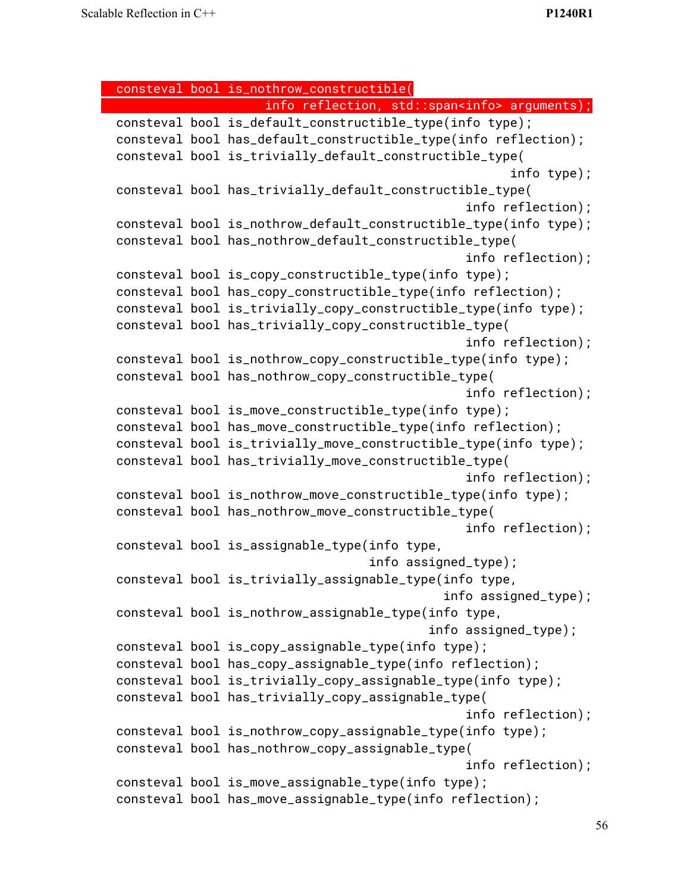consteval bool is\_nothrow\_constructible( info reflection, std::span<info> arguments); consteval bool is\_default\_constructible\_type(info type); consteval bool has\_default\_constructible\_type(info reflection); consteval bool is\_trivially\_default\_constructible\_type( info type); consteval bool has\_trivially\_default\_constructible\_type( info reflection); consteval bool is\_nothrow\_default\_constructible\_type(info type); consteval bool has\_nothrow\_default\_constructible\_type( info reflection); consteval bool is\_copy\_constructible\_type(info type); consteval bool has\_copy\_constructible\_type(info reflection); consteval bool is\_trivially\_copy\_constructible\_type(info type); consteval bool has\_trivially\_copy\_constructible\_type( info reflection); consteval bool is\_nothrow\_copy\_constructible\_type(info type); consteval bool has\_nothrow\_copy\_constructible\_type( info reflection); consteval bool is\_move\_constructible\_type(info type); consteval bool has\_move\_constructible\_type(info reflection); consteval bool is\_trivially\_move\_constructible\_type(info type); consteval bool has\_trivially\_move\_constructible\_type( info reflection); consteval bool is\_nothrow\_move\_constructible\_type(info type); consteval bool has\_nothrow\_move\_constructible\_type( info reflection); consteval bool is\_assignable\_type(info type, info assigned\_type); consteval bool is\_trivially\_assignable\_type(info type, info assigned\_type); consteval bool is\_nothrow\_assignable\_type(info type, info assigned\_type); consteval bool is\_copy\_assignable\_type(info type); consteval bool has\_copy\_assignable\_type(info reflection); consteval bool is\_trivially\_copy\_assignable\_type(info type); consteval bool has\_trivially\_copy\_assignable\_type( info reflection); consteval bool is\_nothrow\_copy\_assignable\_type(info type); consteval bool has\_nothrow\_copy\_assignable\_type( info reflection); consteval bool is\_move\_assignable\_type(info type); consteval bool has\_move\_assignable\_type(info reflection);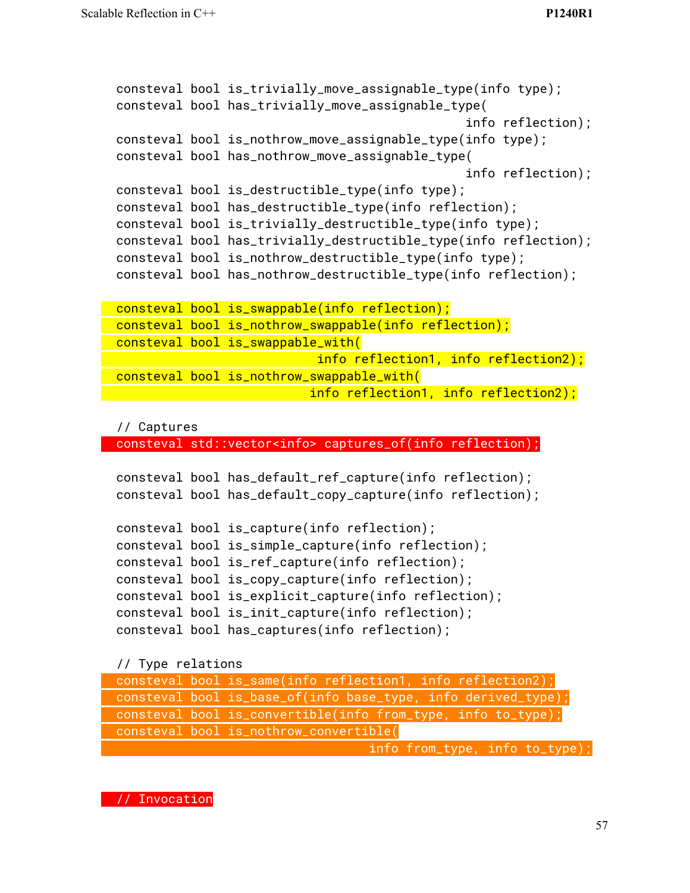```
consteval bool is_trivially_move_assignable_type(info type);
consteval bool has_trivially_move_assignable_type(
                                               info reflection);
consteval bool is_nothrow_move_assignable_type(info type);
consteval bool has_nothrow_move_assignable_type(
                                               info reflection);
consteval bool is_destructible_type(info type);
consteval bool has_destructible_type(info reflection);
consteval bool is_trivially_destructible_type(info type);
consteval bool has_trivially_destructible_type(info reflection);
consteval bool is_nothrow_destructible_type(info type);
consteval bool has_nothrow_destructible_type(info reflection);
consteval bool is_swappable(info reflection);
consteval bool is_nothrow_swappable(info reflection);
consteval bool is_swappable_with(
                           info reflection1, info reflection2);
consteval bool is_nothrow_swappable_with(
                      info reflection1, info reflection2);
```
// Captures

consteval std::vector<info> captures\_of(info reflection);

```
consteval bool has_default_ref_capture(info reflection);
consteval bool has_default_copy_capture(info reflection);
consteval bool is_capture(info reflection);
consteval bool is_simple_capture(info reflection);
consteval bool is_ref_capture(info reflection);
consteval bool is_copy_capture(info reflection);
consteval bool is_explicit_capture(info reflection);
consteval bool is_init_capture(info reflection);
consteval bool has_captures(info reflection);
```
// Type relations

| consteval bool is_same(info reflection1, info reflection2);   |  |
|---------------------------------------------------------------|--|
| consteval bool is_base_of(info base_type, info derived_type); |  |
| consteval bool is_convertible(info from_type, info to_type);  |  |
| consteval bool is_nothrow_convertible(                        |  |
| info from_type, info to_type)                                 |  |

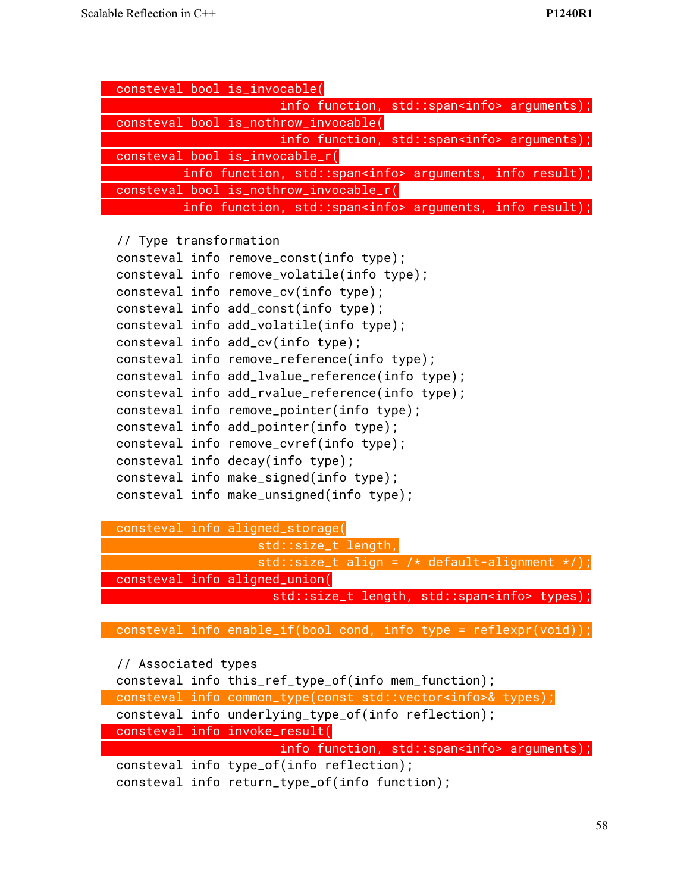|                        | consteval bool is_invocable(                                    |
|------------------------|-----------------------------------------------------------------|
|                        | info function, std::span <info> arguments);</info>              |
|                        | consteval bool is_nothrow_invocable(                            |
|                        | info function, std::span <info> arguments);</info>              |
|                        | consteval bool is_invocable_r(                                  |
|                        | info function, std::span <info> arguments, info result);</info> |
|                        | consteval bool is_nothrow_invocable_r(                          |
|                        | info function, std::span <info> arguments, info result);</info> |
|                        |                                                                 |
| // Type transformation |                                                                 |
|                        | consteval info remove_const(info type);                         |
|                        | consteval info remove_volatile(info type);                      |
|                        | consteval info remove_cv(info type);                            |
|                        | consteval info add_const(info type);                            |
|                        | consteval info add_volatile(info type);                         |
|                        | consteval info add_cv(info type);                               |
|                        | consteval info remove_reference(info type);                     |
|                        | consteval info add_lvalue_reference(info type);                 |
|                        | consteval info add_rvalue_reference(info type);                 |
|                        | consteval info remove_pointer(info type);                       |
|                        | consteval info add_pointer(info type);                          |
|                        | consteval info remove_cvref(info type);                         |
|                        | consteval info decay(info type);                                |
|                        | consteval info make_signed(info type);                          |
|                        | consteval info make_unsigned(info type);                        |
|                        |                                                                 |
|                        | consteval info aligned_storage(                                 |

std::size\_t length, std::size\_t align = /\* default-alignment \*/); consteval info aligned\_union( std::size\_t length, std::span<info> types);

consteval info enable\_if(bool cond, info type = reflexpr(void));

// Associated types

consteval info this\_ref\_type\_of(info mem\_function); consteval info common\_type(const std::vector<info>& types); consteval info underlying\_type\_of(info reflection); consteval info invoke\_result( info function, std::span<info> arguments); consteval info type\_of(info reflection); consteval info return\_type\_of(info function);